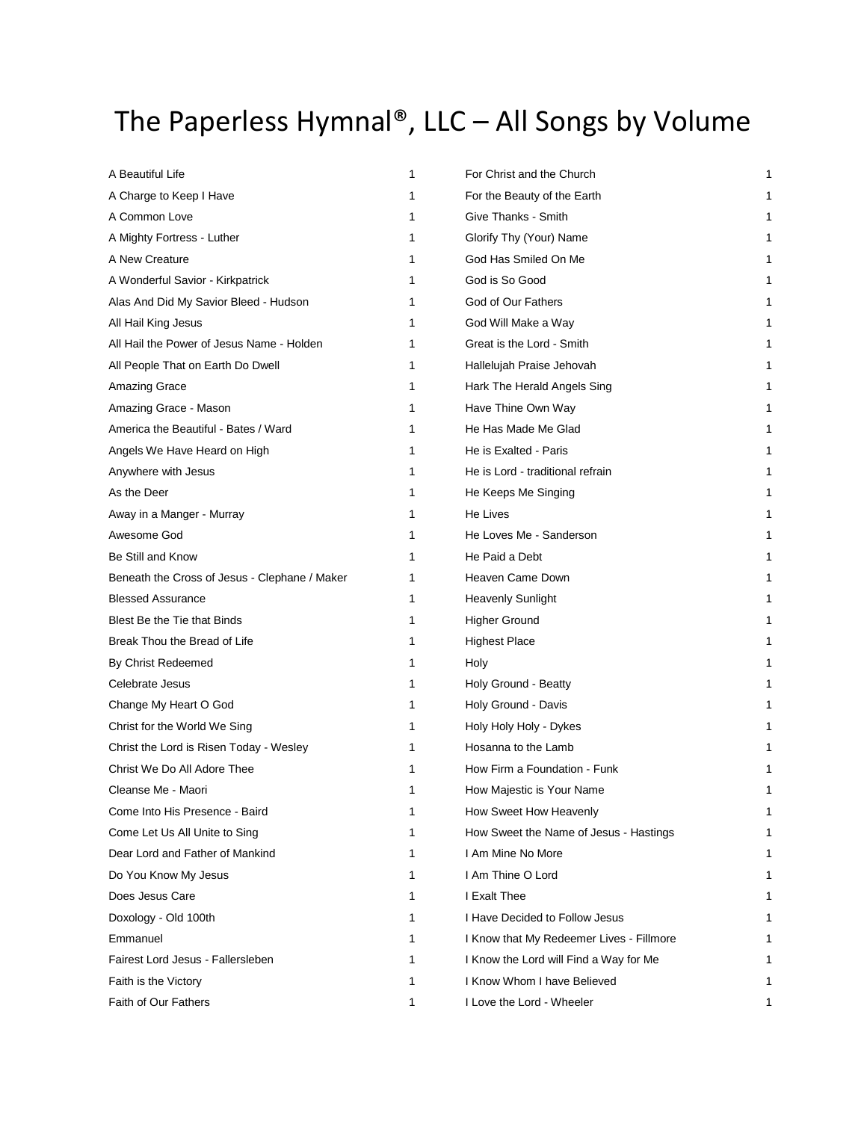## The Paperless Hymnal®, LLC  $-$  All Songs by Volume

| A Beautiful Life                              | 1  | For Christ and the Church                | 1 |
|-----------------------------------------------|----|------------------------------------------|---|
| A Charge to Keep I Have                       | 1  | For the Beauty of the Earth              |   |
| A Common Love                                 | 1  | Give Thanks - Smith                      |   |
| A Mighty Fortress - Luther                    | 1  | Glorify Thy (Your) Name                  |   |
| A New Creature                                | 1  | God Has Smiled On Me                     |   |
| A Wonderful Savior - Kirkpatrick              | 1  | God is So Good                           |   |
| Alas And Did My Savior Bleed - Hudson         | 1  | God of Our Fathers                       |   |
| All Hail King Jesus                           | 1  | God Will Make a Way                      |   |
| All Hail the Power of Jesus Name - Holden     | 1  | Great is the Lord - Smith                |   |
| All People That on Earth Do Dwell             | 1  | Hallelujah Praise Jehovah                |   |
| Amazing Grace                                 | 1  | Hark The Herald Angels Sing              |   |
| Amazing Grace - Mason                         | 1  | Have Thine Own Way                       |   |
| America the Beautiful - Bates / Ward          | 1  | He Has Made Me Glad                      |   |
| Angels We Have Heard on High                  | 1  | He is Exalted - Paris                    |   |
| Anywhere with Jesus                           | 1  | He is Lord - traditional refrain         |   |
| As the Deer                                   | 1  | He Keeps Me Singing                      |   |
| Away in a Manger - Murray                     | 1  | He Lives                                 |   |
| Awesome God                                   | 1  | He Loves Me - Sanderson                  |   |
| Be Still and Know                             | 1  | He Paid a Debt                           |   |
| Beneath the Cross of Jesus - Clephane / Maker | 1  | Heaven Came Down                         |   |
| <b>Blessed Assurance</b>                      | 1  | <b>Heavenly Sunlight</b>                 |   |
| Blest Be the Tie that Binds                   | 1  | <b>Higher Ground</b>                     |   |
| Break Thou the Bread of Life                  | 1  | <b>Highest Place</b>                     |   |
| By Christ Redeemed                            | 1  | Holy                                     |   |
| Celebrate Jesus                               | 1  | Holy Ground - Beatty                     |   |
| Change My Heart O God                         | 1  | Holy Ground - Davis                      |   |
| Christ for the World We Sing                  | 1. | Holy Holy Holy - Dykes                   |   |
| Christ the Lord is Risen Today - Wesley       | 1  | Hosanna to the Lamb                      |   |
| Christ We Do All Adore Thee                   | 1  | How Firm a Foundation - Funk             |   |
| Cleanse Me - Maori                            | 1  | How Majestic is Your Name                |   |
| Come Into His Presence - Baird                | 1  | How Sweet How Heavenly                   |   |
| Come Let Us All Unite to Sing                 | 1  | How Sweet the Name of Jesus - Hastings   |   |
| Dear Lord and Father of Mankind               | 1  | I Am Mine No More                        |   |
| Do You Know My Jesus                          | 1  | I Am Thine O Lord                        |   |
| Does Jesus Care                               | 1  | I Exalt Thee                             |   |
| Doxology - Old 100th                          | 1  | I Have Decided to Follow Jesus           |   |
| Emmanuel                                      | 1  | I Know that My Redeemer Lives - Fillmore |   |
| Fairest Lord Jesus - Fallersleben             | 1  | I Know the Lord will Find a Way for Me   |   |
| Faith is the Victory                          | 1  | I Know Whom I have Believed              |   |
| Faith of Our Fathers                          | 1  | I Love the Lord - Wheeler                |   |

| For Christ and the Church                | 1 |
|------------------------------------------|---|
| For the Beauty of the Earth              | 1 |
| Give Thanks - Smith                      | 1 |
| Glorify Thy (Your) Name                  | 1 |
| God Has Smiled On Me                     | 1 |
| God is So Good                           | 1 |
| God of Our Fathers                       | 1 |
| God Will Make a Way                      | 1 |
| Great is the Lord - Smith                | 1 |
| Hallelujah Praise Jehovah                | 1 |
| Hark The Herald Angels Sing              | 1 |
| Have Thine Own Way                       | 1 |
| He Has Made Me Glad                      | 1 |
| He is Exalted - Paris                    | 1 |
| He is Lord - traditional refrain         | 1 |
|                                          | 1 |
| He Keeps Me Singing<br>He Lives          | 1 |
| He Loves Me - Sanderson                  | 1 |
| He Paid a Debt                           | 1 |
| Heaven Came Down                         | 1 |
| <b>Heavenly Sunlight</b>                 | 1 |
| Higher Ground                            | 1 |
| Highest Place                            | 1 |
| Holy                                     | 1 |
| Holy Ground - Beatty                     | 1 |
| Holy Ground - Davis                      | 1 |
| Holy Holy Holy - Dykes                   | 1 |
| Hosanna to the Lamb                      | 1 |
| How Firm a Foundation - Funk             | 1 |
| How Majestic is Your Name                | 1 |
| How Sweet How Heavenly                   | 1 |
| How Sweet the Name of Jesus - Hastings   | 1 |
| I Am Mine No More                        | 1 |
| I Am Thine O Lord                        | 1 |
| I Fxalt Thee                             | 1 |
| I Have Decided to Follow Jesus           | 1 |
| I Know that My Redeemer Lives - Fillmore | 1 |
| I Know the Lord will Find a Way for Me   | 1 |
| I Know Whom I have Believed              | 1 |
|                                          |   |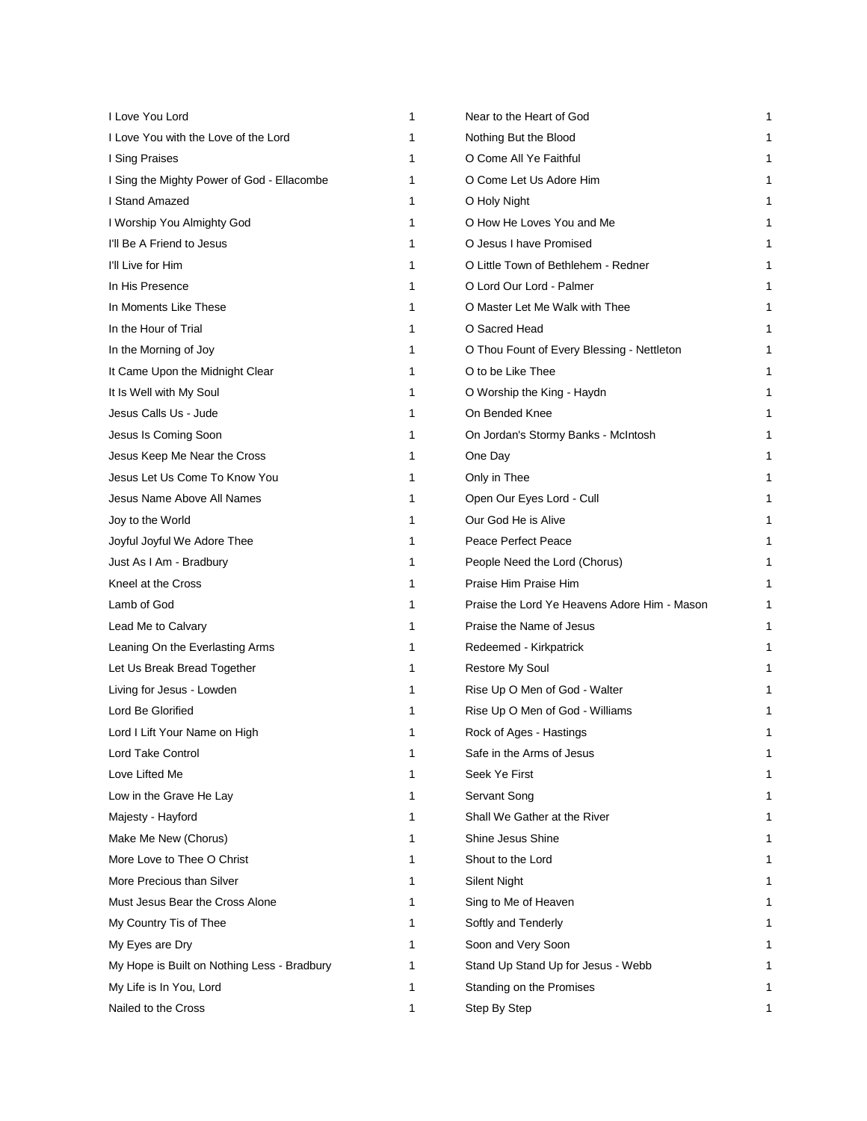| I Love You Lord                             | 1 | Near to the Heart of God                     | 1 |
|---------------------------------------------|---|----------------------------------------------|---|
| I Love You with the Love of the Lord        | 1 | Nothing But the Blood                        | 1 |
| I Sing Praises                              | 1 | O Come All Ye Faithful                       | 1 |
| I Sing the Mighty Power of God - Ellacombe  | 1 | O Come Let Us Adore Him                      | 1 |
| I Stand Amazed                              | 1 | O Holy Night                                 | 1 |
| I Worship You Almighty God                  | 1 | O How He Loves You and Me                    | 1 |
| I'll Be A Friend to Jesus                   | 1 | O Jesus I have Promised                      | 1 |
| I'll Live for Him                           | 1 | O Little Town of Bethlehem - Redner          | 1 |
| In His Presence                             | 1 | O Lord Our Lord - Palmer                     | 1 |
| In Moments Like These                       | 1 | O Master Let Me Walk with Thee               | 1 |
| In the Hour of Trial                        | 1 | O Sacred Head                                | 1 |
| In the Morning of Joy                       | 1 | O Thou Fount of Every Blessing - Nettleton   | 1 |
| It Came Upon the Midnight Clear             | 1 | O to be Like Thee                            |   |
| It Is Well with My Soul                     | 1 | O Worship the King - Haydn                   | 1 |
| Jesus Calls Us - Jude                       | 1 | On Bended Knee                               | 1 |
| Jesus Is Coming Soon                        | 1 | On Jordan's Stormy Banks - McIntosh          | 1 |
| Jesus Keep Me Near the Cross                | 1 | One Day                                      | 1 |
| Jesus Let Us Come To Know You               | 1 | Only in Thee                                 | 1 |
| Jesus Name Above All Names                  | 1 | Open Our Eyes Lord - Cull                    | 1 |
| Joy to the World                            | 1 | Our God He is Alive                          | 1 |
| Joyful Joyful We Adore Thee                 | 1 | Peace Perfect Peace                          | 1 |
| Just As I Am - Bradbury                     | 1 | People Need the Lord (Chorus)                | 1 |
| Kneel at the Cross                          | 1 | Praise Him Praise Him                        | 1 |
| Lamb of God                                 | 1 | Praise the Lord Ye Heavens Adore Him - Mason | 1 |
| Lead Me to Calvary                          | 1 | Praise the Name of Jesus                     | 1 |
| Leaning On the Everlasting Arms             | 1 | Redeemed - Kirkpatrick                       | 1 |
| Let Us Break Bread Together                 | 1 | <b>Restore My Soul</b>                       |   |
| Living for Jesus - Lowden                   | 1 | Rise Up O Men of God - Walter                | 1 |
| Lord Be Glorified                           | 1 | Rise Up O Men of God - Williams              |   |
| Lord I Lift Your Name on High               | 1 | Rock of Ages - Hastings                      | 1 |
| Lord Take Control                           | 1 | Safe in the Arms of Jesus                    | 1 |
| Love Lifted Me                              | 1 | Seek Ye First                                | 1 |
| Low in the Grave He Lay                     | 1 | Servant Song                                 | 1 |
| Majesty - Hayford                           | 1 | Shall We Gather at the River                 | 1 |
| Make Me New (Chorus)                        | 1 | Shine Jesus Shine                            | 1 |
| More Love to Thee O Christ                  | 1 | Shout to the Lord                            | 1 |
| More Precious than Silver                   | 1 | <b>Silent Night</b>                          | 1 |
| Must Jesus Bear the Cross Alone             | 1 | Sing to Me of Heaven                         | 1 |
| My Country Tis of Thee                      | 1 | Softly and Tenderly                          |   |
| My Eyes are Dry                             | 1 | Soon and Very Soon                           |   |
| My Hope is Built on Nothing Less - Bradbury | 1 | Stand Up Stand Up for Jesus - Webb           |   |
| My Life is In You, Lord                     | 1 | Standing on the Promises                     | 1 |
| Nailed to the Cross                         | 1 | Step By Step                                 | 1 |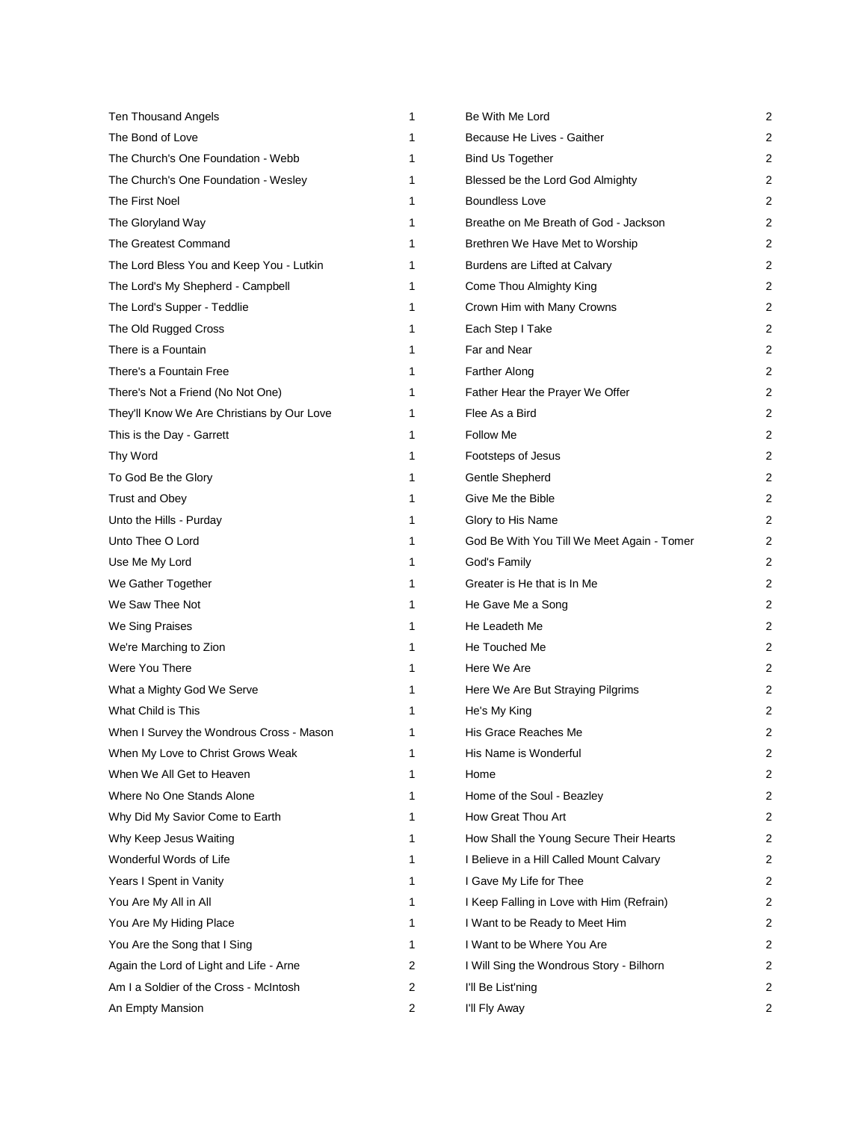| <b>Ten Thousand Angels</b>                 | 1              | Be With Me Lord                            | 2 |
|--------------------------------------------|----------------|--------------------------------------------|---|
| The Bond of Love                           | 1              | Because He Lives - Gaither                 | 2 |
| The Church's One Foundation - Webb         | 1              | <b>Bind Us Together</b>                    | 2 |
| The Church's One Foundation - Wesley       | 1              | Blessed be the Lord God Almighty           | 2 |
| The First Noel                             | 1              | <b>Boundless Love</b>                      | 2 |
| The Gloryland Way                          | 1              | Breathe on Me Breath of God - Jackson      | 2 |
| The Greatest Command                       | 1              | Brethren We Have Met to Worship            | 2 |
| The Lord Bless You and Keep You - Lutkin   | 1              | Burdens are Lifted at Calvary              | 2 |
| The Lord's My Shepherd - Campbell          | 1              | Come Thou Almighty King                    | 2 |
| The Lord's Supper - Teddlie                | 1              | Crown Him with Many Crowns                 | 2 |
| The Old Rugged Cross                       | 1              | Each Step I Take                           | 2 |
| There is a Fountain                        | 1              | Far and Near                               | 2 |
| There's a Fountain Free                    | 1              | <b>Farther Along</b>                       | 2 |
| There's Not a Friend (No Not One)          | 1              | Father Hear the Prayer We Offer            | 2 |
| They'll Know We Are Christians by Our Love | 1              | Flee As a Bird                             | 2 |
| This is the Day - Garrett                  | 1              | Follow Me                                  | 2 |
| Thy Word                                   | 1              | Footsteps of Jesus                         | 2 |
| To God Be the Glory                        | 1              | Gentle Shepherd                            | 2 |
| Trust and Obey                             | 1              | Give Me the Bible                          | 2 |
| Unto the Hills - Purday                    | 1              | Glory to His Name                          | 2 |
| Unto Thee O Lord                           | 1              | God Be With You Till We Meet Again - Tomer | 2 |
| Use Me My Lord                             | 1              | God's Family                               | 2 |
| We Gather Together                         | 1              | Greater is He that is In Me                | 2 |
| We Saw Thee Not                            | 1              | He Gave Me a Song                          | 2 |
| We Sing Praises                            | 1              | He Leadeth Me                              | 2 |
| We're Marching to Zion                     | 1              | He Touched Me                              | 2 |
| Were You There                             | 1              | Here We Are                                | 2 |
| What a Mighty God We Serve                 | 1              | Here We Are But Straying Pilgrims          | 2 |
| What Child is This                         | 1              | He's My King                               | 2 |
| When I Survey the Wondrous Cross - Mason   | 1              | His Grace Reaches Me                       | 2 |
| When My Love to Christ Grows Weak          | 1              | His Name is Wonderful                      | 2 |
| When We All Get to Heaven                  | 1              | Home                                       | 2 |
| Where No One Stands Alone                  | 1              | Home of the Soul - Beazley                 | 2 |
| Why Did My Savior Come to Earth            | 1              | How Great Thou Art                         | 2 |
| Why Keep Jesus Waiting                     | 1              | How Shall the Young Secure Their Hearts    | 2 |
| Wonderful Words of Life                    | 1              | I Believe in a Hill Called Mount Calvary   | 2 |
| Years I Spent in Vanity                    | 1              | I Gave My Life for Thee                    | 2 |
| You Are My All in All                      | 1              | I Keep Falling in Love with Him (Refrain)  | 2 |
| You Are My Hiding Place                    | 1              | I Want to be Ready to Meet Him             | 2 |
| You Are the Song that I Sing               | 1              | I Want to be Where You Are                 | 2 |
| Again the Lord of Light and Life - Arne    | $\overline{c}$ | I Will Sing the Wondrous Story - Bilhorn   | 2 |
| Am I a Soldier of the Cross - McIntosh     | 2              | I'll Be List'ning                          | 2 |
| An Empty Mansion                           | 2              | I'll Fly Away                              | 2 |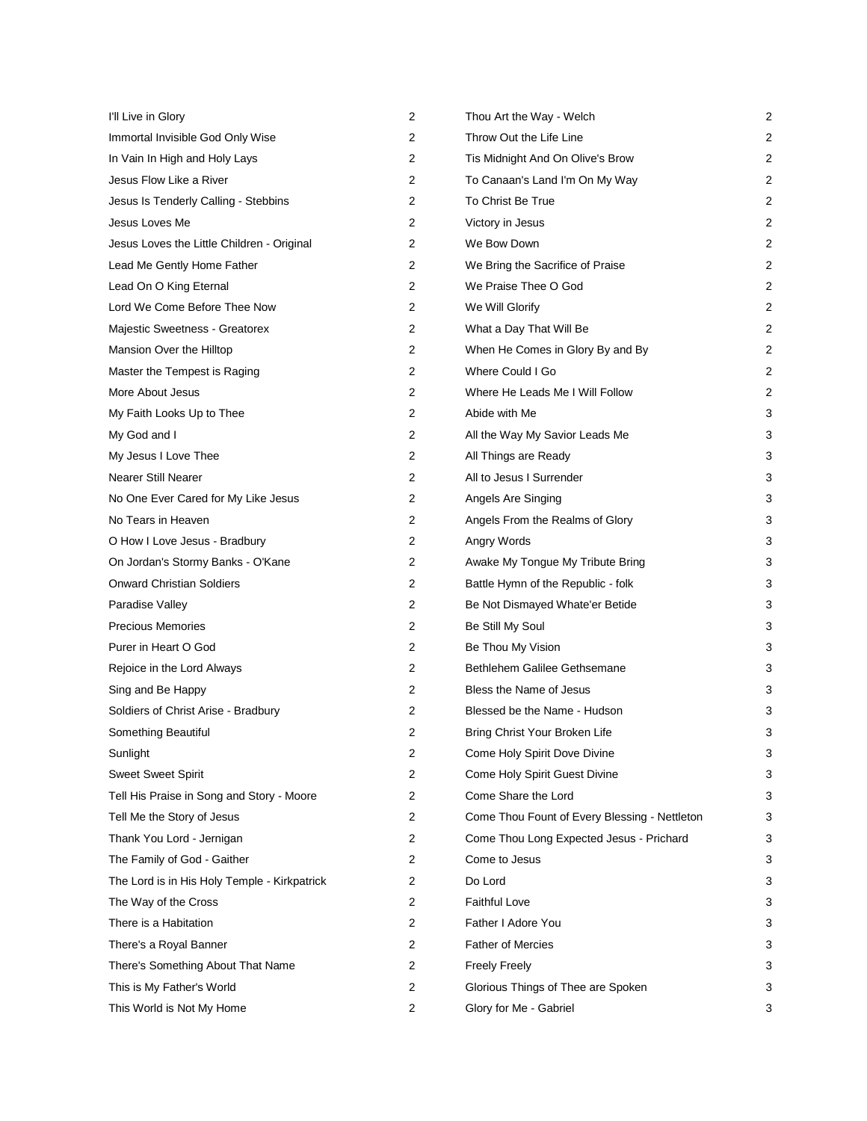| I'll Live in Glory                           | 2 | Thou Art the Way - Welch                      | 2              |
|----------------------------------------------|---|-----------------------------------------------|----------------|
| Immortal Invisible God Only Wise             | 2 | Throw Out the Life Line                       | $\overline{c}$ |
| In Vain In High and Holy Lays                | 2 | Tis Midnight And On Olive's Brow              | $\overline{c}$ |
| Jesus Flow Like a River                      | 2 | To Canaan's Land I'm On My Way                | 2              |
| Jesus Is Tenderly Calling - Stebbins         | 2 | To Christ Be True                             | 2              |
| Jesus Loves Me                               | 2 | Victory in Jesus                              | 2              |
| Jesus Loves the Little Children - Original   | 2 | We Bow Down                                   | 2              |
| Lead Me Gently Home Father                   | 2 | We Bring the Sacrifice of Praise              | 2              |
| Lead On O King Eternal                       | 2 | We Praise Thee O God                          | 2              |
| Lord We Come Before Thee Now                 | 2 | We Will Glorify                               | 2              |
| Majestic Sweetness - Greatorex               | 2 | What a Day That Will Be                       | 2              |
| Mansion Over the Hilltop                     | 2 | When He Comes in Glory By and By              | 2              |
| Master the Tempest is Raging                 | 2 | Where Could I Go                              | 2              |
| More About Jesus                             | 2 | Where He Leads Me I Will Follow               | 2              |
| My Faith Looks Up to Thee                    | 2 | Abide with Me                                 | 3              |
| My God and I                                 | 2 | All the Way My Savior Leads Me                | 3              |
| My Jesus I Love Thee                         | 2 | All Things are Ready                          | 3              |
| <b>Nearer Still Nearer</b>                   | 2 | All to Jesus I Surrender                      | 3              |
| No One Ever Cared for My Like Jesus          | 2 | Angels Are Singing                            | 3              |
| No Tears in Heaven                           | 2 | Angels From the Realms of Glory               | 3              |
| O How I Love Jesus - Bradbury                | 2 | Angry Words                                   | 3              |
| On Jordan's Stormy Banks - O'Kane            | 2 | Awake My Tongue My Tribute Bring              | 3              |
| <b>Onward Christian Soldiers</b>             | 2 | Battle Hymn of the Republic - folk            | 3              |
| Paradise Valley                              | 2 | Be Not Dismayed Whate'er Betide               | 3              |
| <b>Precious Memories</b>                     | 2 | Be Still My Soul                              | 3              |
| Purer in Heart O God                         | 2 | Be Thou My Vision                             | 3              |
| Rejoice in the Lord Always                   | 2 | Bethlehem Galilee Gethsemane                  | 3              |
| Sing and Be Happy                            | 2 | Bless the Name of Jesus                       | 3              |
| Soldiers of Christ Arise - Bradbury          | 2 | Blessed be the Name - Hudson                  | 3              |
| Something Beautiful                          | 2 | Bring Christ Your Broken Life                 | 3              |
| Sunlight                                     | 2 | Come Holy Spirit Dove Divine                  | 3              |
| <b>Sweet Sweet Spirit</b>                    | 2 | Come Holy Spirit Guest Divine                 | 3              |
| Tell His Praise in Song and Story - Moore    | 2 | Come Share the Lord                           | 3              |
| Tell Me the Story of Jesus                   | 2 | Come Thou Fount of Every Blessing - Nettleton | 3              |
| Thank You Lord - Jernigan                    | 2 | Come Thou Long Expected Jesus - Prichard      | 3              |
| The Family of God - Gaither                  | 2 | Come to Jesus                                 | 3              |
| The Lord is in His Holy Temple - Kirkpatrick | 2 | Do Lord                                       | 3              |
| The Way of the Cross                         | 2 | <b>Faithful Love</b>                          | 3              |
| There is a Habitation                        | 2 | Father I Adore You                            | 3              |
| There's a Royal Banner                       | 2 | <b>Father of Mercies</b>                      | 3              |
| There's Something About That Name            | 2 | <b>Freely Freely</b>                          | 3              |
| This is My Father's World                    | 2 | Glorious Things of Thee are Spoken            | 3              |
| This World is Not My Home                    | 2 | Glory for Me - Gabriel                        | 3              |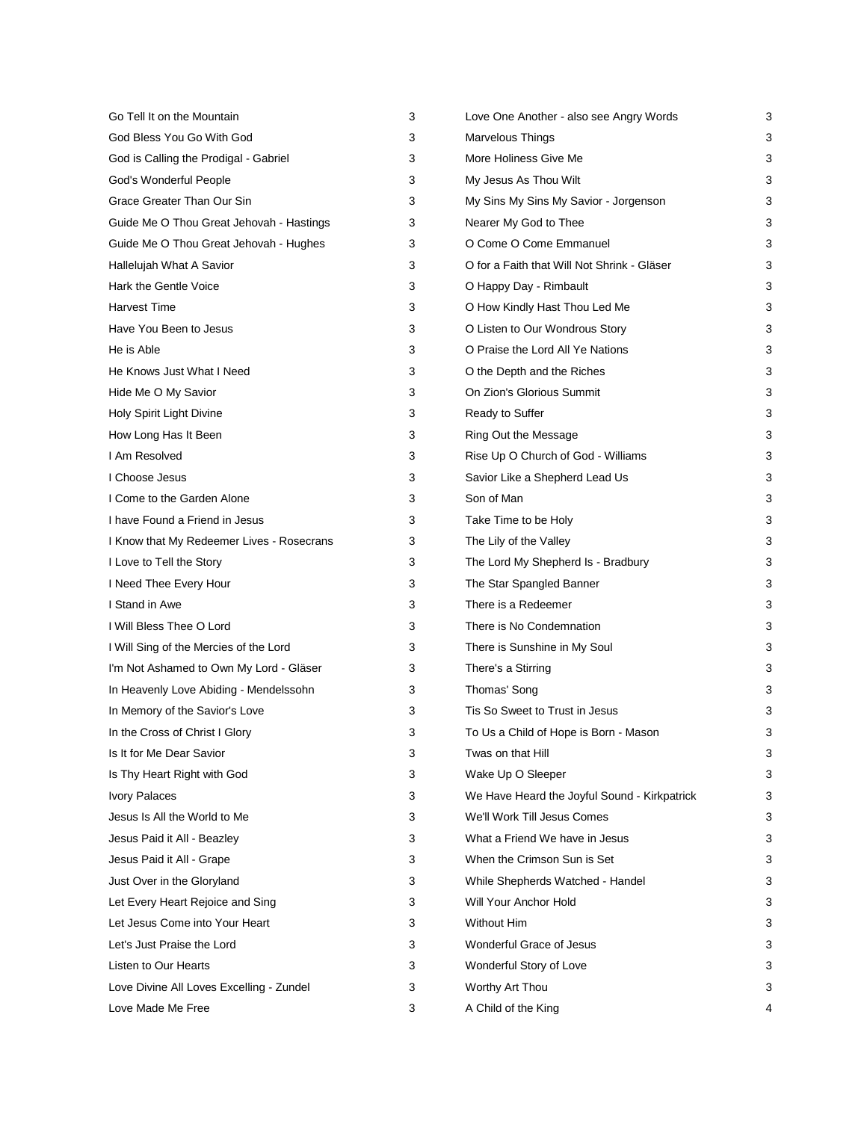| Go Tell It on the Mountain                | 3 | Love One Another - also see Angry Words      | 3 |
|-------------------------------------------|---|----------------------------------------------|---|
| God Bless You Go With God                 | 3 | Marvelous Things                             | 3 |
| God is Calling the Prodigal - Gabriel     | 3 | More Holiness Give Me                        | 3 |
| God's Wonderful People                    | 3 | My Jesus As Thou Wilt                        | 3 |
| Grace Greater Than Our Sin                | 3 | My Sins My Sins My Savior - Jorgenson        | 3 |
| Guide Me O Thou Great Jehovah - Hastings  | 3 | Nearer My God to Thee                        | 3 |
| Guide Me O Thou Great Jehovah - Hughes    | 3 | O Come O Come Emmanuel                       | 3 |
| Hallelujah What A Savior                  | 3 | O for a Faith that Will Not Shrink - Gläser  | 3 |
| Hark the Gentle Voice                     | 3 | O Happy Day - Rimbault                       | 3 |
| <b>Harvest Time</b>                       | 3 | O How Kindly Hast Thou Led Me                | 3 |
| Have You Been to Jesus                    | 3 | O Listen to Our Wondrous Story               | 3 |
| He is Able                                | 3 | O Praise the Lord All Ye Nations             | 3 |
| He Knows Just What I Need                 | 3 | O the Depth and the Riches                   | 3 |
| Hide Me O My Savior                       | 3 | On Zion's Glorious Summit                    | 3 |
| Holy Spirit Light Divine                  | 3 | Ready to Suffer                              | 3 |
| How Long Has It Been                      | 3 | Ring Out the Message                         | 3 |
| I Am Resolved                             | 3 | Rise Up O Church of God - Williams           | 3 |
| I Choose Jesus                            | 3 | Savior Like a Shepherd Lead Us               | 3 |
| I Come to the Garden Alone                | 3 | Son of Man                                   | 3 |
| I have Found a Friend in Jesus            | 3 | Take Time to be Holy                         | 3 |
| I Know that My Redeemer Lives - Rosecrans | 3 | The Lily of the Valley                       | 3 |
| I Love to Tell the Story                  | 3 | The Lord My Shepherd Is - Bradbury           | 3 |
| I Need Thee Every Hour                    | 3 | The Star Spangled Banner                     | 3 |
| I Stand in Awe                            | 3 | There is a Redeemer                          | 3 |
| I Will Bless Thee O Lord                  | 3 | There is No Condemnation                     | 3 |
| I Will Sing of the Mercies of the Lord    | 3 | There is Sunshine in My Soul                 | 3 |
| I'm Not Ashamed to Own My Lord - Gläser   | 3 | There's a Stirring                           | 3 |
| In Heavenly Love Abiding - Mendelssohn    | 3 | Thomas' Song                                 | 3 |
| In Memory of the Savior's Love            | 3 | Tis So Sweet to Trust in Jesus               | 3 |
| In the Cross of Christ I Glory            | 3 | To Us a Child of Hope is Born - Mason        | 3 |
| Is It for Me Dear Savior                  | 3 | Twas on that Hill                            | 3 |
| Is Thy Heart Right with God               | 3 | Wake Up O Sleeper                            | 3 |
| <b>Ivory Palaces</b>                      | 3 | We Have Heard the Joyful Sound - Kirkpatrick | 3 |
| Jesus Is All the World to Me              | 3 | We'll Work Till Jesus Comes                  | 3 |
| Jesus Paid it All - Beazley               | 3 | What a Friend We have in Jesus               | 3 |
| Jesus Paid it All - Grape                 | 3 | When the Crimson Sun is Set                  | 3 |
| Just Over in the Gloryland                | 3 | While Shepherds Watched - Handel             | 3 |
| Let Every Heart Rejoice and Sing          | 3 | Will Your Anchor Hold                        | 3 |
| Let Jesus Come into Your Heart            | 3 | <b>Without Him</b>                           | 3 |
| Let's Just Praise the Lord                | 3 | Wonderful Grace of Jesus                     | 3 |
| Listen to Our Hearts                      | 3 | Wonderful Story of Love                      | 3 |
| Love Divine All Loves Excelling - Zundel  | 3 | Worthy Art Thou                              | 3 |
| Love Made Me Free                         | 3 | A Child of the King                          | 4 |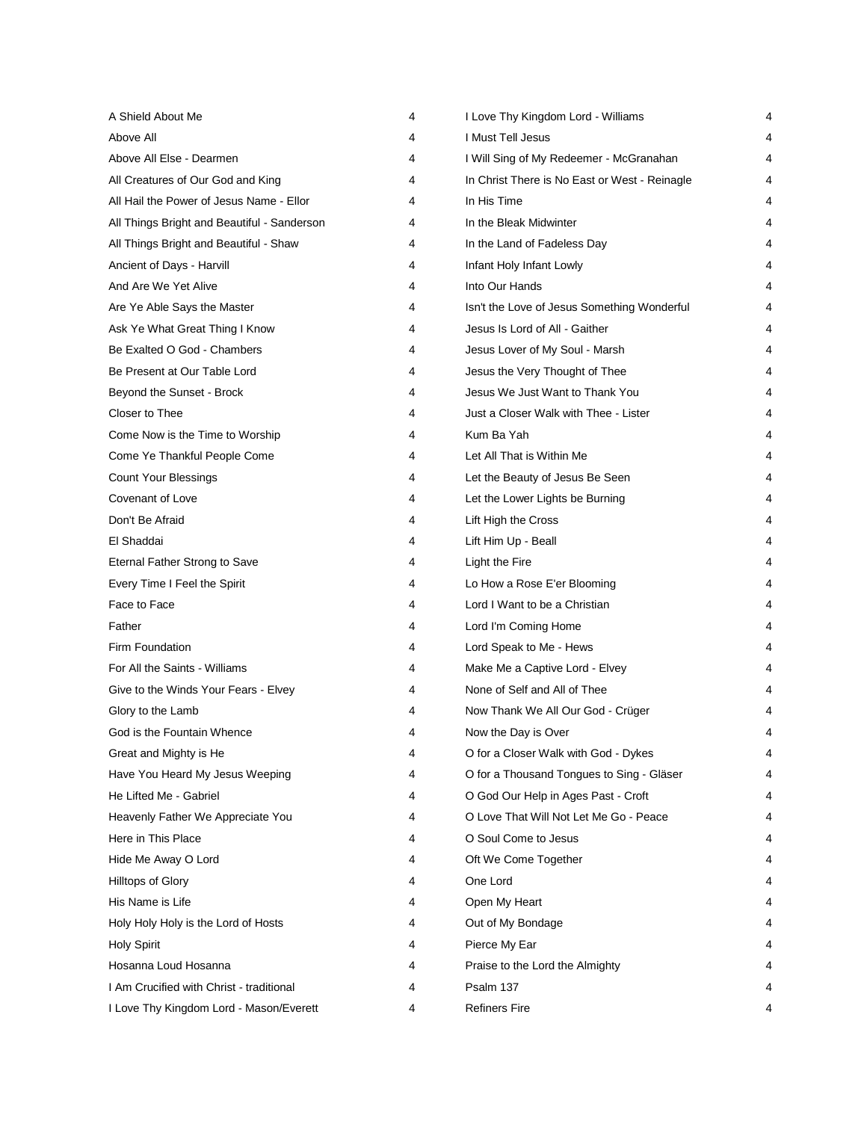| A Shield About Me                           | 4 | I Love Thy Kingdom Lord - Williams            | 4 |
|---------------------------------------------|---|-----------------------------------------------|---|
| Above All                                   | 4 | I Must Tell Jesus                             | 4 |
| Above All Else - Dearmen                    | 4 | I Will Sing of My Redeemer - McGranahan       | 4 |
| All Creatures of Our God and King           | 4 | In Christ There is No East or West - Reinagle | 4 |
| All Hail the Power of Jesus Name - Ellor    | 4 | In His Time                                   | 4 |
| All Things Bright and Beautiful - Sanderson | 4 | In the Bleak Midwinter                        | 4 |
| All Things Bright and Beautiful - Shaw      | 4 | In the Land of Fadeless Day                   | 4 |
| Ancient of Days - Harvill                   | 4 | Infant Holy Infant Lowly                      | 4 |
| And Are We Yet Alive                        | 4 | Into Our Hands                                | 4 |
| Are Ye Able Says the Master                 | 4 | Isn't the Love of Jesus Something Wonderful   | 4 |
| Ask Ye What Great Thing I Know              | 4 | Jesus Is Lord of All - Gaither                | 4 |
| Be Exalted O God - Chambers                 | 4 | Jesus Lover of My Soul - Marsh                | 4 |
| Be Present at Our Table Lord                | 4 | Jesus the Very Thought of Thee                | 4 |
| Beyond the Sunset - Brock                   | 4 | Jesus We Just Want to Thank You               | 4 |
| Closer to Thee                              | 4 | Just a Closer Walk with Thee - Lister         | 4 |
| Come Now is the Time to Worship             | 4 | Kum Ba Yah                                    | 4 |
| Come Ye Thankful People Come                | 4 | Let All That is Within Me                     | 4 |
| <b>Count Your Blessings</b>                 | 4 | Let the Beauty of Jesus Be Seen               | 4 |
| Covenant of Love                            | 4 | Let the Lower Lights be Burning               | 4 |
| Don't Be Afraid                             | 4 | Lift High the Cross                           | 4 |
| El Shaddai                                  | 4 | Lift Him Up - Beall                           | 4 |
| Eternal Father Strong to Save               | 4 | Light the Fire                                | 4 |
| Every Time I Feel the Spirit                | 4 | Lo How a Rose E'er Blooming                   | 4 |
| Face to Face                                | 4 | Lord I Want to be a Christian                 | 4 |
| Father                                      | 4 | Lord I'm Coming Home                          | 4 |
| Firm Foundation                             | 4 | Lord Speak to Me - Hews                       | 4 |
| For All the Saints - Williams               | 4 | Make Me a Captive Lord - Elvey                | 4 |
| Give to the Winds Your Fears - Elvey        | 4 | None of Self and All of Thee                  | 4 |
| Glory to the Lamb                           | 4 | Now Thank We All Our God - Crüger             | 4 |
| God is the Fountain Whence                  | 4 | Now the Day is Over                           | 4 |
| Great and Mighty is He                      | 4 | O for a Closer Walk with God - Dykes          | 4 |
| Have You Heard My Jesus Weeping             | 4 | O for a Thousand Tongues to Sing - Gläser     |   |
| He Lifted Me - Gabriel                      | 4 | O God Our Help in Ages Past - Croft           |   |
| Heavenly Father We Appreciate You           | 4 | O Love That Will Not Let Me Go - Peace        | 4 |
| Here in This Place                          | 4 | O Soul Come to Jesus                          |   |
| Hide Me Away O Lord                         | 4 | Oft We Come Together                          |   |
| Hilltops of Glory                           | 4 | One Lord                                      |   |
| His Name is Life                            | 4 | Open My Heart                                 |   |
| Holy Holy Holy is the Lord of Hosts         | 4 | Out of My Bondage                             |   |
| <b>Holy Spirit</b>                          | 4 | Pierce My Ear                                 |   |
| Hosanna Loud Hosanna                        | 4 | Praise to the Lord the Almighty               |   |
| I Am Crucified with Christ - traditional    | 4 | Psalm 137                                     | 4 |
| I Love Thy Kingdom Lord - Mason/Everett     | 4 | <b>Refiners Fire</b>                          | 4 |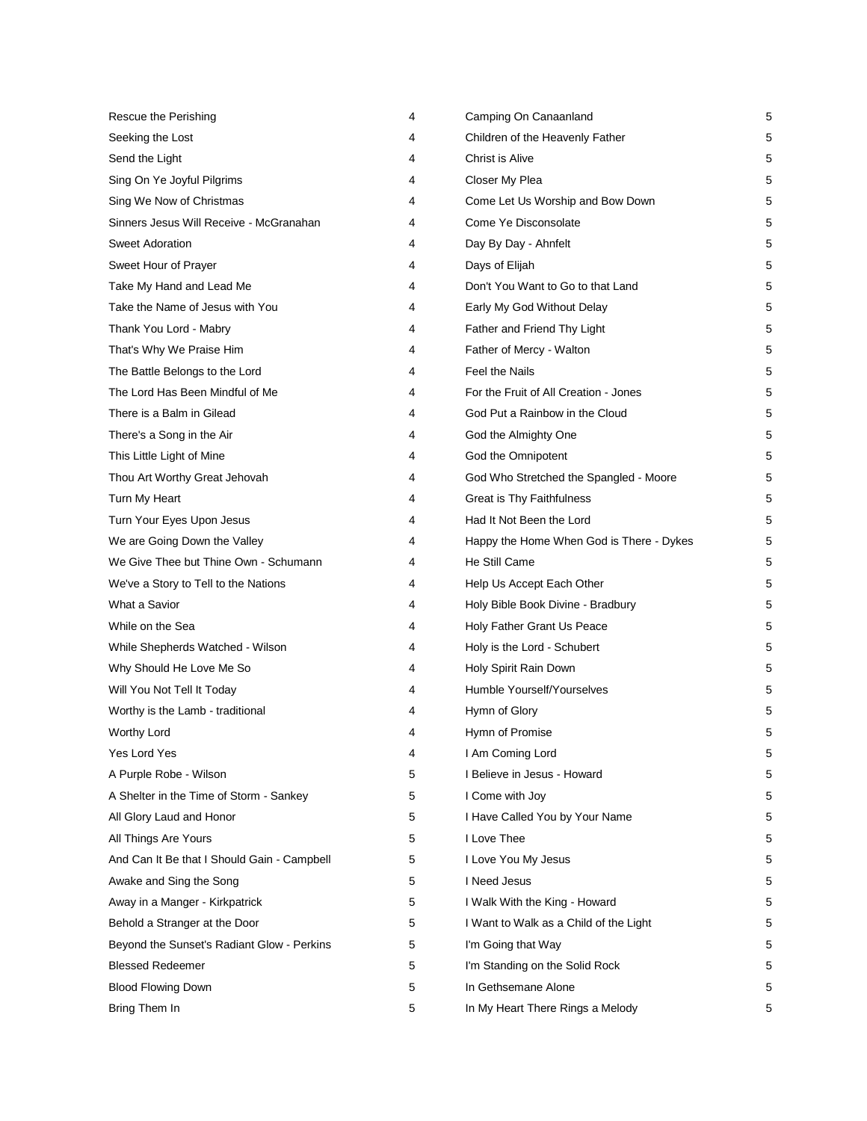| Rescue the Perishing                        | 4 | Camping On Canaanland                    | 5 |
|---------------------------------------------|---|------------------------------------------|---|
| Seeking the Lost                            | 4 | Children of the Heavenly Father          | 5 |
| Send the Light                              | 4 | Christ is Alive                          | 5 |
| Sing On Ye Joyful Pilgrims                  | 4 | Closer My Plea                           | 5 |
| Sing We Now of Christmas                    | 4 | Come Let Us Worship and Bow Down         | 5 |
| Sinners Jesus Will Receive - McGranahan     | 4 | Come Ye Disconsolate                     | 5 |
| <b>Sweet Adoration</b>                      | 4 | Day By Day - Ahnfelt                     | 5 |
| Sweet Hour of Prayer                        | 4 | Days of Elijah                           | 5 |
| Take My Hand and Lead Me                    | 4 | Don't You Want to Go to that Land        | 5 |
| Take the Name of Jesus with You             | 4 | Early My God Without Delay               | 5 |
| Thank You Lord - Mabry                      | 4 | Father and Friend Thy Light              | 5 |
| That's Why We Praise Him                    | 4 | Father of Mercy - Walton                 | 5 |
| The Battle Belongs to the Lord              | 4 | Feel the Nails                           | 5 |
| The Lord Has Been Mindful of Me             | 4 | For the Fruit of All Creation - Jones    | 5 |
| There is a Balm in Gilead                   | 4 | God Put a Rainbow in the Cloud           | 5 |
| There's a Song in the Air                   | 4 | God the Almighty One                     | 5 |
| This Little Light of Mine                   | 4 | God the Omnipotent                       | 5 |
| Thou Art Worthy Great Jehovah               | 4 | God Who Stretched the Spangled - Moore   | 5 |
| Turn My Heart                               | 4 | Great is Thy Faithfulness                | 5 |
| Turn Your Eyes Upon Jesus                   | 4 | Had It Not Been the Lord                 | 5 |
| We are Going Down the Valley                | 4 | Happy the Home When God is There - Dykes | 5 |
| We Give Thee but Thine Own - Schumann       | 4 | He Still Came                            | 5 |
| We've a Story to Tell to the Nations        | 4 | Help Us Accept Each Other                | 5 |
| What a Savior                               | 4 | Holy Bible Book Divine - Bradbury        | 5 |
| While on the Sea                            | 4 | Holy Father Grant Us Peace               | 5 |
| While Shepherds Watched - Wilson            | 4 | Holy is the Lord - Schubert              | 5 |
| Why Should He Love Me So                    | 4 | Holy Spirit Rain Down                    | 5 |
| Will You Not Tell It Today                  | 4 | Humble Yourself/Yourselves               | 5 |
| Worthy is the Lamb - traditional            | 4 | Hymn of Glory                            | 5 |
| <b>Worthy Lord</b>                          | 4 | Hymn of Promise                          | 5 |
| Yes Lord Yes                                | 4 | I Am Coming Lord                         | 5 |
| A Purple Robe - Wilson                      | 5 | I Believe in Jesus - Howard              | 5 |
| A Shelter in the Time of Storm - Sankey     | 5 | I Come with Joy                          | 5 |
| All Glory Laud and Honor                    | 5 | I Have Called You by Your Name           | 5 |
| All Things Are Yours                        | 5 | I Love Thee                              | 5 |
| And Can It Be that I Should Gain - Campbell | 5 | I Love You My Jesus                      | 5 |
| Awake and Sing the Song                     | 5 | I Need Jesus                             | 5 |
| Away in a Manger - Kirkpatrick              | 5 | I Walk With the King - Howard            | 5 |
| Behold a Stranger at the Door               | 5 | I Want to Walk as a Child of the Light   | 5 |
| Beyond the Sunset's Radiant Glow - Perkins  | 5 | I'm Going that Way                       | 5 |
| <b>Blessed Redeemer</b>                     | 5 | I'm Standing on the Solid Rock           | 5 |
| <b>Blood Flowing Down</b>                   | 5 | In Gethsemane Alone                      | 5 |
| Bring Them In                               | 5 | In My Heart There Rings a Melody         | 5 |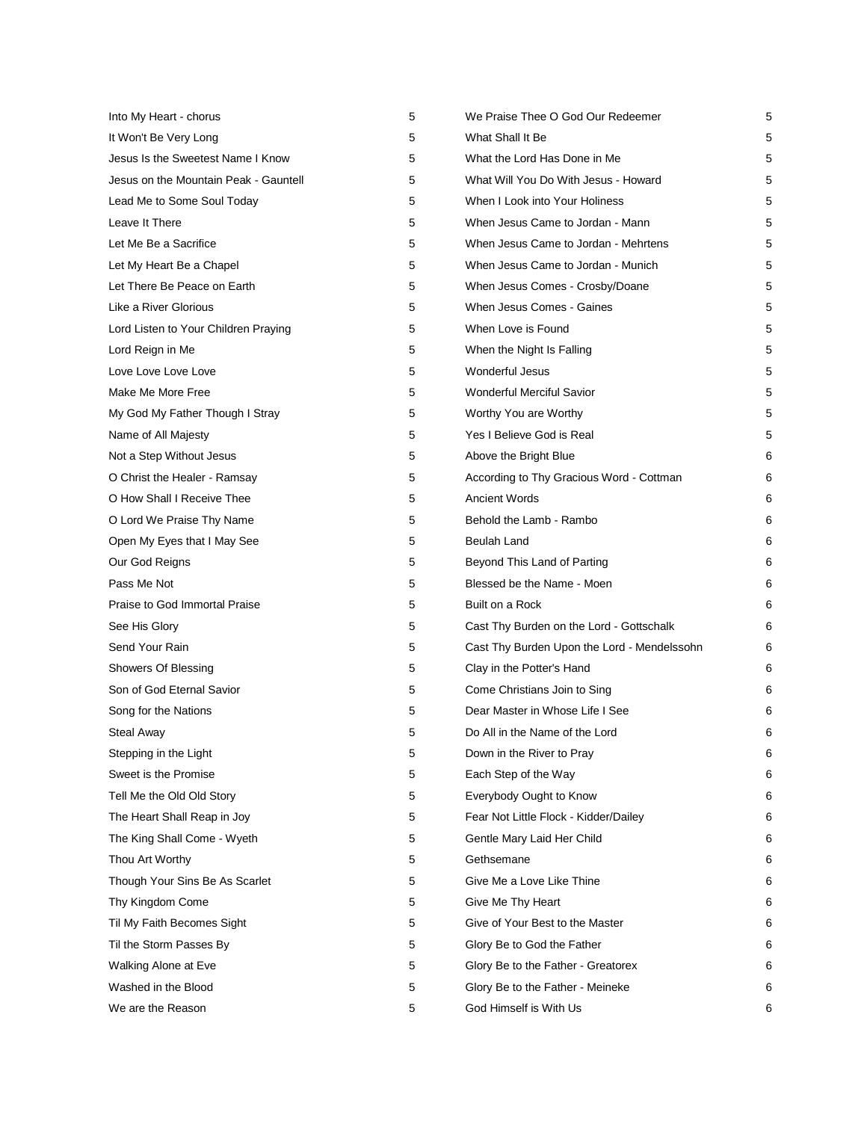| Into My Heart - chorus                | 5 | We Praise Thee O God Our Redeemer           | 5 |
|---------------------------------------|---|---------------------------------------------|---|
| It Won't Be Very Long                 | 5 | What Shall It Be                            | 5 |
| Jesus Is the Sweetest Name I Know     | 5 | What the Lord Has Done in Me                | 5 |
| Jesus on the Mountain Peak - Gauntell | 5 | What Will You Do With Jesus - Howard        | 5 |
| Lead Me to Some Soul Today            | 5 | When I Look into Your Holiness              | 5 |
| Leave It There                        | 5 | When Jesus Came to Jordan - Mann            | 5 |
| Let Me Be a Sacrifice                 | 5 | When Jesus Came to Jordan - Mehrtens        | 5 |
| Let My Heart Be a Chapel              | 5 | When Jesus Came to Jordan - Munich          | 5 |
| Let There Be Peace on Earth           | 5 | When Jesus Comes - Crosby/Doane             | 5 |
| Like a River Glorious                 | 5 | When Jesus Comes - Gaines                   | 5 |
| Lord Listen to Your Children Praying  | 5 | When Love is Found                          | 5 |
| Lord Reign in Me                      | 5 | When the Night Is Falling                   | 5 |
| Love Love Love Love                   | 5 | Wonderful Jesus                             | 5 |
| Make Me More Free                     | 5 | <b>Wonderful Merciful Savior</b>            | 5 |
| My God My Father Though I Stray       | 5 | Worthy You are Worthy                       | 5 |
| Name of All Majesty                   | 5 | Yes I Believe God is Real                   | 5 |
| Not a Step Without Jesus              | 5 | Above the Bright Blue                       | 6 |
| O Christ the Healer - Ramsay          | 5 | According to Thy Gracious Word - Cottman    | 6 |
| O How Shall I Receive Thee            | 5 | <b>Ancient Words</b>                        | 6 |
| O Lord We Praise Thy Name             | 5 | Behold the Lamb - Rambo                     | 6 |
| Open My Eyes that I May See           | 5 | Beulah Land                                 | 6 |
| Our God Reigns                        | 5 | Beyond This Land of Parting                 | 6 |
| Pass Me Not                           | 5 | Blessed be the Name - Moen                  | 6 |
| Praise to God Immortal Praise         | 5 | Built on a Rock                             | 6 |
| See His Glory                         | 5 | Cast Thy Burden on the Lord - Gottschalk    | 6 |
| Send Your Rain                        | 5 | Cast Thy Burden Upon the Lord - Mendelssohn | 6 |
| Showers Of Blessing                   | 5 | Clay in the Potter's Hand                   | 6 |
| Son of God Eternal Savior             | 5 | Come Christians Join to Sing                | 6 |
| Song for the Nations                  | 5 | Dear Master in Whose Life I See             | 6 |
| <b>Steal Away</b>                     | 5 | Do All in the Name of the Lord              | 6 |
| Stepping in the Light                 | 5 | Down in the River to Pray                   | 6 |
| Sweet is the Promise                  | 5 | Each Step of the Way                        | 6 |
| Tell Me the Old Old Story             | 5 | Everybody Ought to Know                     | 6 |
| The Heart Shall Reap in Joy           | 5 | Fear Not Little Flock - Kidder/Dailey       | 6 |
| The King Shall Come - Wyeth           | 5 | Gentle Mary Laid Her Child                  | 6 |
| Thou Art Worthy                       | 5 | Gethsemane                                  | 6 |
| Though Your Sins Be As Scarlet        | 5 | Give Me a Love Like Thine                   | 6 |
| Thy Kingdom Come                      | 5 | Give Me Thy Heart                           | 6 |
| Til My Faith Becomes Sight            | 5 | Give of Your Best to the Master             | 6 |
| Til the Storm Passes By               | 5 | Glory Be to God the Father                  | 6 |
| Walking Alone at Eve                  | 5 | Glory Be to the Father - Greatorex          | 6 |
| Washed in the Blood                   | 5 | Glory Be to the Father - Meineke            | 6 |
| We are the Reason                     | 5 | God Himself is With Us                      | 6 |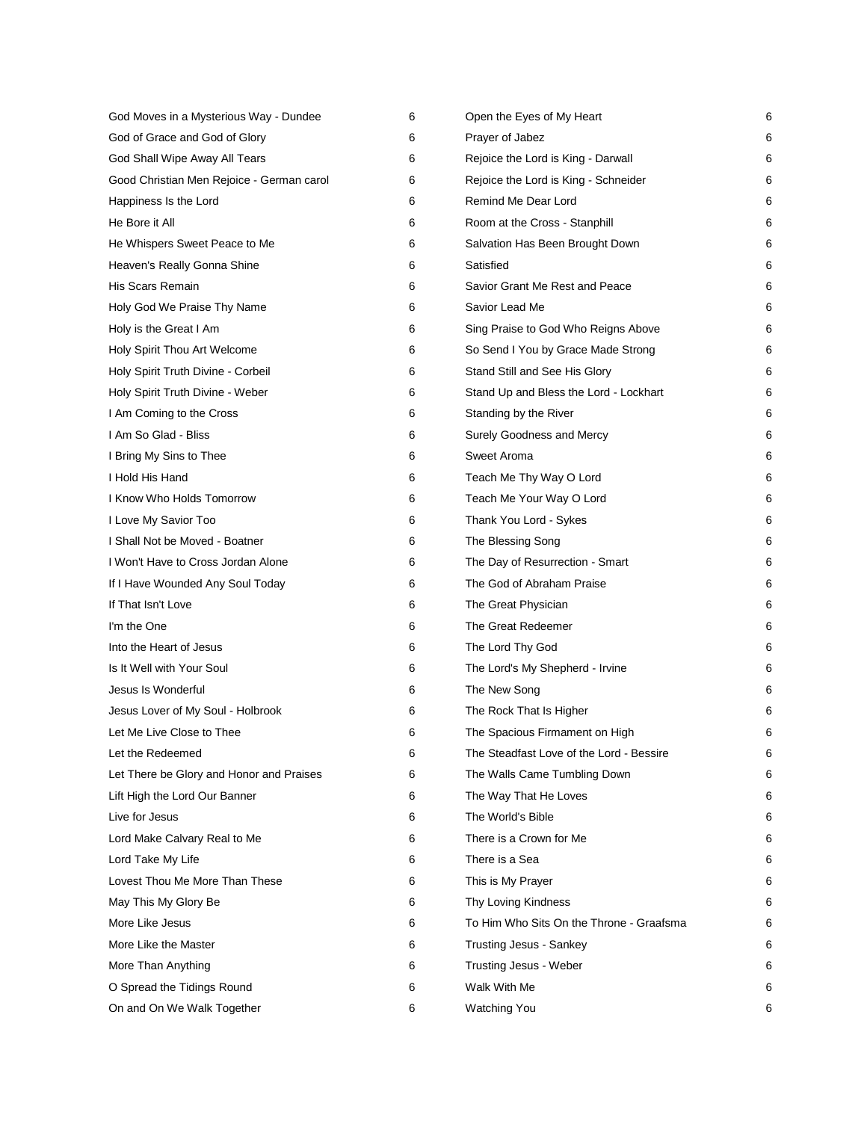| God Moves in a Mysterious Way - Dundee    | 6 | Open the Eyes of My Heart                | 6 |
|-------------------------------------------|---|------------------------------------------|---|
| God of Grace and God of Glory             | 6 | Prayer of Jabez                          | 6 |
| God Shall Wipe Away All Tears             | 6 | Rejoice the Lord is King - Darwall       | 6 |
| Good Christian Men Rejoice - German carol | 6 | Rejoice the Lord is King - Schneider     | 6 |
| Happiness Is the Lord                     | 6 | Remind Me Dear Lord                      | 6 |
| He Bore it All                            | 6 | Room at the Cross - Stanphill            | 6 |
| He Whispers Sweet Peace to Me             | 6 | Salvation Has Been Brought Down          | 6 |
| Heaven's Really Gonna Shine               | 6 | Satisfied                                | 6 |
| His Scars Remain                          | 6 | Savior Grant Me Rest and Peace           | 6 |
| Holy God We Praise Thy Name               | 6 | Savior Lead Me                           | 6 |
| Holy is the Great I Am                    | 6 | Sing Praise to God Who Reigns Above      | 6 |
| Holy Spirit Thou Art Welcome              | 6 | So Send I You by Grace Made Strong       | 6 |
| Holy Spirit Truth Divine - Corbeil        | 6 | Stand Still and See His Glory            | 6 |
| Holy Spirit Truth Divine - Weber          | 6 | Stand Up and Bless the Lord - Lockhart   | 6 |
| I Am Coming to the Cross                  | 6 | Standing by the River                    | 6 |
| I Am So Glad - Bliss                      | 6 | Surely Goodness and Mercy                | 6 |
| I Bring My Sins to Thee                   | 6 | Sweet Aroma                              | 6 |
| I Hold His Hand                           | 6 | Teach Me Thy Way O Lord                  | 6 |
| I Know Who Holds Tomorrow                 | 6 | Teach Me Your Way O Lord                 | 6 |
| I Love My Savior Too                      | 6 | Thank You Lord - Sykes                   | 6 |
| I Shall Not be Moved - Boatner            | 6 | The Blessing Song                        | 6 |
| I Won't Have to Cross Jordan Alone        | 6 | The Day of Resurrection - Smart          | 6 |
| If I Have Wounded Any Soul Today          | 6 | The God of Abraham Praise                | 6 |
| If That Isn't Love                        | 6 | The Great Physician                      | 6 |
| I'm the One                               | 6 | The Great Redeemer                       | 6 |
| Into the Heart of Jesus                   | 6 | The Lord Thy God                         | 6 |
| Is It Well with Your Soul                 | 6 | The Lord's My Shepherd - Irvine          | 6 |
| Jesus Is Wonderful                        | 6 | The New Song                             | 6 |
| Jesus Lover of My Soul - Holbrook         | 6 | The Rock That Is Higher                  | 6 |
| Let Me Live Close to Thee                 | 6 | The Spacious Firmament on High           | 6 |
| Let the Redeemed                          | 6 | The Steadfast Love of the Lord - Bessire | 6 |
| Let There be Glory and Honor and Praises  | 6 | The Walls Came Tumbling Down             | 6 |
| Lift High the Lord Our Banner             | 6 | The Way That He Loves                    | 6 |
| Live for Jesus                            | 6 | The World's Bible                        | 6 |
| Lord Make Calvary Real to Me              | 6 | There is a Crown for Me                  | 6 |
| Lord Take My Life                         | 6 | There is a Sea                           | 6 |
| Lovest Thou Me More Than These            | 6 | This is My Prayer                        | 6 |
| May This My Glory Be                      | 6 | Thy Loving Kindness                      | 6 |
| More Like Jesus                           | 6 | To Him Who Sits On the Throne - Graafsma | 6 |
| More Like the Master                      | 6 | <b>Trusting Jesus - Sankey</b>           | 6 |
| More Than Anything                        | 6 | Trusting Jesus - Weber                   | 6 |
| O Spread the Tidings Round                | 6 | Walk With Me                             | 6 |
| On and On We Walk Together                | 6 | <b>Watching You</b>                      | 6 |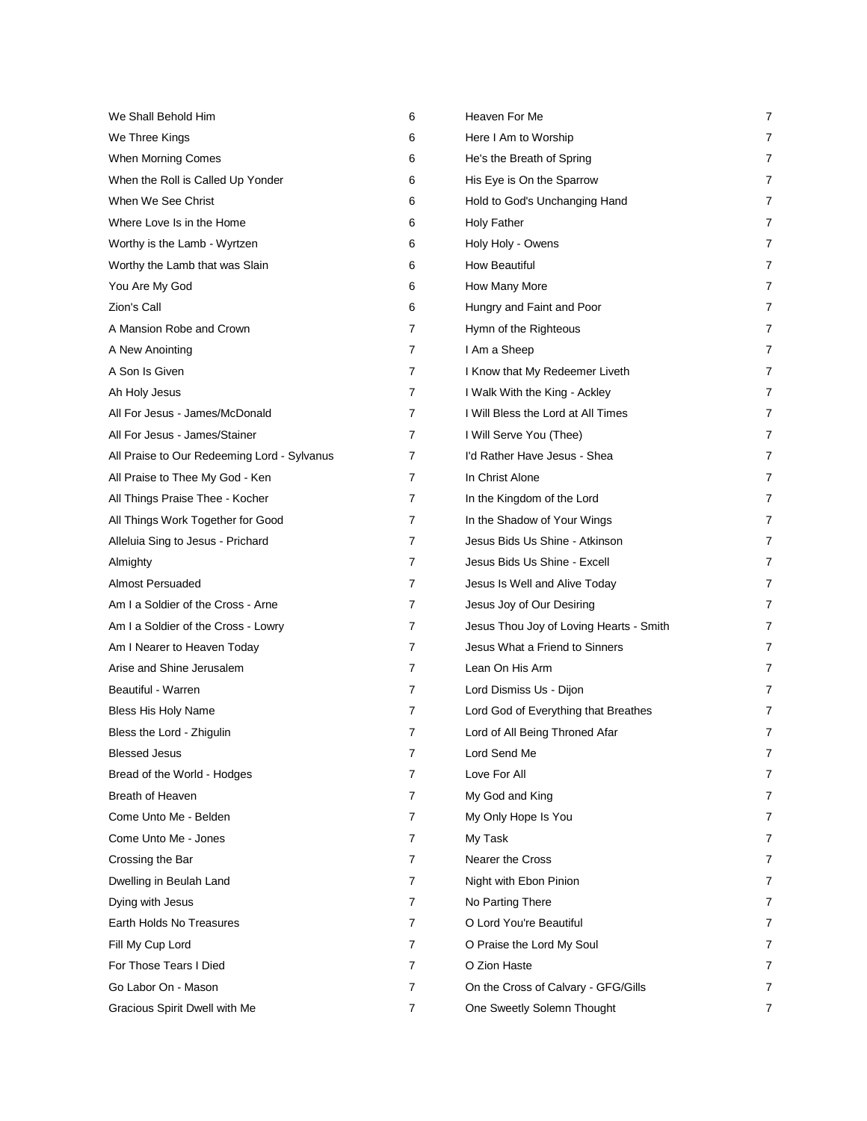| We Shall Behold Him                         | 6 | Heaven For Me                           | 7              |
|---------------------------------------------|---|-----------------------------------------|----------------|
| We Three Kings                              | 6 | Here I Am to Worship                    | 7              |
| When Morning Comes                          | 6 | He's the Breath of Spring               | 7              |
| When the Roll is Called Up Yonder           | 6 | His Eye is On the Sparrow               | $\overline{7}$ |
| When We See Christ                          | 6 | Hold to God's Unchanging Hand           | 7              |
| Where Love Is in the Home                   | 6 | <b>Holy Father</b>                      | 7              |
| Worthy is the Lamb - Wyrtzen                | 6 | Holy Holy - Owens                       | 7              |
| Worthy the Lamb that was Slain              | 6 | <b>How Beautiful</b>                    | 7              |
| You Are My God                              | 6 | How Many More                           | 7              |
| Zion's Call                                 | 6 | Hungry and Faint and Poor               | 7              |
| A Mansion Robe and Crown                    | 7 | Hymn of the Righteous                   | 7              |
| A New Anointing                             | 7 | I Am a Sheep                            | $\overline{7}$ |
| A Son Is Given                              | 7 | I Know that My Redeemer Liveth          | 7              |
| Ah Holy Jesus                               | 7 | I Walk With the King - Ackley           | 7              |
| All For Jesus - James/McDonald              | 7 | I Will Bless the Lord at All Times      | 7              |
| All For Jesus - James/Stainer               | 7 | I Will Serve You (Thee)                 | 7              |
| All Praise to Our Redeeming Lord - Sylvanus | 7 | I'd Rather Have Jesus - Shea            | 7              |
| All Praise to Thee My God - Ken             | 7 | In Christ Alone                         | 7              |
| All Things Praise Thee - Kocher             | 7 | In the Kingdom of the Lord              | 7              |
| All Things Work Together for Good           | 7 | In the Shadow of Your Wings             | $\overline{7}$ |
| Alleluia Sing to Jesus - Prichard           | 7 | Jesus Bids Us Shine - Atkinson          | 7              |
| Almighty                                    | 7 | Jesus Bids Us Shine - Excell            | 7              |
| Almost Persuaded                            | 7 | Jesus Is Well and Alive Today           | 7              |
| Am I a Soldier of the Cross - Arne          | 7 | Jesus Joy of Our Desiring               | $\overline{7}$ |
| Am I a Soldier of the Cross - Lowry         | 7 | Jesus Thou Joy of Loving Hearts - Smith | 7              |
| Am I Nearer to Heaven Today                 | 7 | Jesus What a Friend to Sinners          | 7              |
| Arise and Shine Jerusalem                   | 7 | Lean On His Arm                         | 7              |
| Beautiful - Warren                          | 7 | Lord Dismiss Us - Dijon                 | 7              |
| Bless His Holy Name                         | 7 | Lord God of Everything that Breathes    | 7              |
| Bless the Lord - Zhigulin                   | 7 | Lord of All Being Throned Afar          | 7              |
| <b>Blessed Jesus</b>                        | 7 | Lord Send Me                            | 7              |
| Bread of the World - Hodges                 | 7 | Love For All                            | 7              |
| <b>Breath of Heaven</b>                     | 7 | My God and King                         | 7              |
| Come Unto Me - Belden                       | 7 | My Only Hope Is You                     | $\overline{7}$ |
| Come Unto Me - Jones                        | 7 | My Task                                 | 7              |
| Crossing the Bar                            | 7 | <b>Nearer the Cross</b>                 | 7              |
| Dwelling in Beulah Land                     | 7 | Night with Ebon Pinion                  | 7              |
| Dying with Jesus                            | 7 | No Parting There                        | 7              |
| Earth Holds No Treasures                    | 7 | O Lord You're Beautiful                 | 7              |
| Fill My Cup Lord                            | 7 | O Praise the Lord My Soul               | 7              |
| For Those Tears I Died                      | 7 | O Zion Haste                            | 7              |
| Go Labor On - Mason                         | 7 | On the Cross of Calvary - GFG/Gills     | 7              |
| Gracious Spirit Dwell with Me               | 7 | One Sweetly Solemn Thought              | 7              |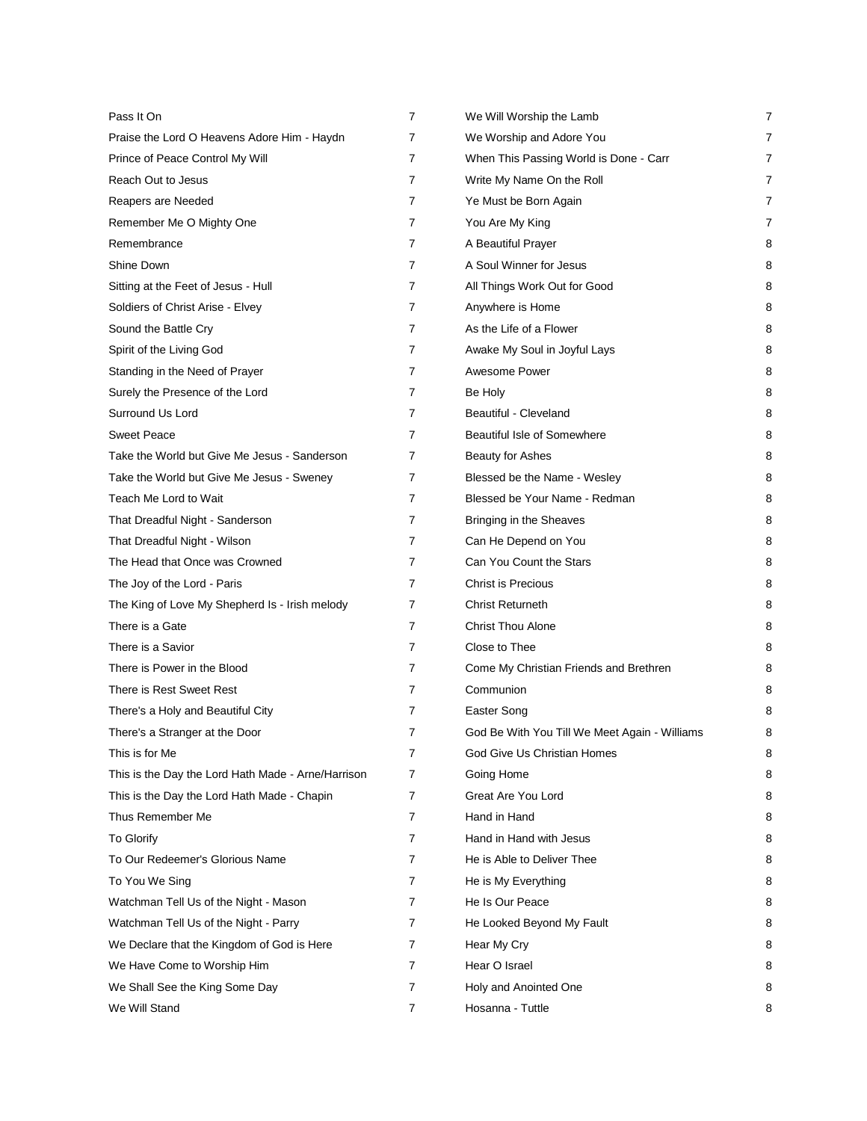| Pass It On                                         | 7              | We Will Worship the Lamb                      | 7              |
|----------------------------------------------------|----------------|-----------------------------------------------|----------------|
| Praise the Lord O Heavens Adore Him - Haydn        | 7              | We Worship and Adore You                      | 7              |
| Prince of Peace Control My Will                    | 7              | When This Passing World is Done - Carr        | 7              |
| Reach Out to Jesus                                 | $\overline{7}$ | Write My Name On the Roll                     | $\overline{7}$ |
| Reapers are Needed                                 | 7              | Ye Must be Born Again                         | 7              |
| Remember Me O Mighty One                           | 7              | You Are My King                               | $\overline{7}$ |
| Remembrance                                        | 7              | A Beautiful Prayer                            | 8              |
| Shine Down                                         | $\overline{7}$ | A Soul Winner for Jesus                       | 8              |
| Sitting at the Feet of Jesus - Hull                | 7              | All Things Work Out for Good                  | 8              |
| Soldiers of Christ Arise - Elvey                   | 7              | Anywhere is Home                              | 8              |
| Sound the Battle Cry                               | 7              | As the Life of a Flower                       | 8              |
| Spirit of the Living God                           | 7              | Awake My Soul in Joyful Lays                  | 8              |
| Standing in the Need of Prayer                     | 7              | Awesome Power                                 | 8              |
| Surely the Presence of the Lord                    | 7              | Be Holy                                       | 8              |
| Surround Us Lord                                   | 7              | Beautiful - Cleveland                         | 8              |
| <b>Sweet Peace</b>                                 | $\overline{7}$ | Beautiful Isle of Somewhere                   | 8              |
| Take the World but Give Me Jesus - Sanderson       | 7              | Beauty for Ashes                              | 8              |
| Take the World but Give Me Jesus - Sweney          | 7              | Blessed be the Name - Wesley                  | 8              |
| Teach Me Lord to Wait                              | 7              | Blessed be Your Name - Redman                 | 8              |
| That Dreadful Night - Sanderson                    | 7              | Bringing in the Sheaves                       | 8              |
| That Dreadful Night - Wilson                       | 7              | Can He Depend on You                          | 8              |
| The Head that Once was Crowned                     | 7              | Can You Count the Stars                       | 8              |
| The Joy of the Lord - Paris                        | 7              | <b>Christ is Precious</b>                     | 8              |
| The King of Love My Shepherd Is - Irish melody     | $\overline{7}$ | <b>Christ Returneth</b>                       | 8              |
| There is a Gate                                    | 7              | <b>Christ Thou Alone</b>                      | 8              |
| There is a Savior                                  | 7              | Close to Thee                                 | 8              |
| There is Power in the Blood                        | 7              | Come My Christian Friends and Brethren        | 8              |
| There is Rest Sweet Rest                           | 7              | Communion                                     | 8              |
| There's a Holy and Beautiful City                  | 7              | Easter Song                                   | 8              |
| There's a Stranger at the Door                     | 7              | God Be With You Till We Meet Again - Williams | 8              |
| This is for Me                                     | 7              | God Give Us Christian Homes                   | 8              |
| This is the Day the Lord Hath Made - Arne/Harrison | 7              | Going Home                                    | 8              |
| This is the Day the Lord Hath Made - Chapin        | 7              | Great Are You Lord                            | 8              |
| Thus Remember Me                                   | 7              | Hand in Hand                                  | 8              |
| <b>To Glorify</b>                                  | 7              | Hand in Hand with Jesus                       | 8              |
| To Our Redeemer's Glorious Name                    | 7              | He is Able to Deliver Thee                    | 8              |
| To You We Sing                                     | 7              | He is My Everything                           | 8              |
| Watchman Tell Us of the Night - Mason              | 7              | He Is Our Peace                               | 8              |
| Watchman Tell Us of the Night - Parry              | 7              | He Looked Beyond My Fault                     | 8              |
| We Declare that the Kingdom of God is Here         | 7              | Hear My Cry                                   | 8              |
| We Have Come to Worship Him                        | 7              | Hear O Israel                                 | 8              |
| We Shall See the King Some Day                     | $\overline{7}$ | Holy and Anointed One                         | 8              |
| We Will Stand                                      | 7              | Hosanna - Tuttle                              | 8              |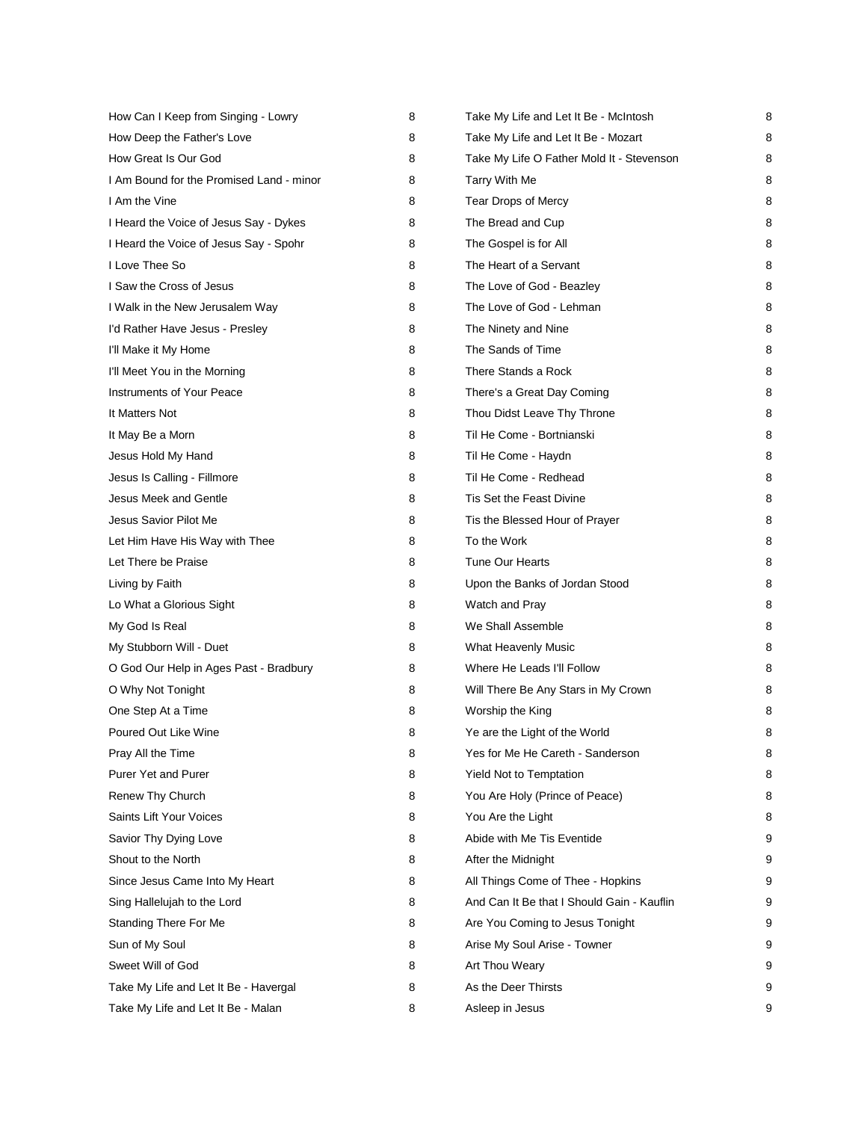| How Can I Keep from Singing - Lowry      | 8 | Take My Life and Let It Be - McIntosh      | 8 |
|------------------------------------------|---|--------------------------------------------|---|
| How Deep the Father's Love               | 8 | Take My Life and Let It Be - Mozart        | 8 |
| How Great Is Our God                     | 8 | Take My Life O Father Mold It - Stevenson  | 8 |
| I Am Bound for the Promised Land - minor | 8 | Tarry With Me                              | 8 |
| I Am the Vine                            | 8 | Tear Drops of Mercy                        | 8 |
| I Heard the Voice of Jesus Say - Dykes   | 8 | The Bread and Cup                          | 8 |
| I Heard the Voice of Jesus Say - Spohr   | 8 | The Gospel is for All                      | 8 |
| I Love Thee So                           | 8 | The Heart of a Servant                     | 8 |
| I Saw the Cross of Jesus                 | 8 | The Love of God - Beazley                  | 8 |
| I Walk in the New Jerusalem Way          | 8 | The Love of God - Lehman                   | 8 |
| I'd Rather Have Jesus - Presley          | 8 | The Ninety and Nine                        | 8 |
| I'll Make it My Home                     | 8 | The Sands of Time                          | 8 |
| I'll Meet You in the Morning             | 8 | There Stands a Rock                        | 8 |
| <b>Instruments of Your Peace</b>         | 8 | There's a Great Day Coming                 | 8 |
| It Matters Not                           | 8 | Thou Didst Leave Thy Throne                | 8 |
| It May Be a Morn                         | 8 | Til He Come - Bortnianski                  | 8 |
| Jesus Hold My Hand                       | 8 | Til He Come - Haydn                        | 8 |
| Jesus Is Calling - Fillmore              | 8 | Til He Come - Redhead                      | 8 |
| Jesus Meek and Gentle                    | 8 | Tis Set the Feast Divine                   | 8 |
| Jesus Savior Pilot Me                    | 8 | Tis the Blessed Hour of Prayer             | 8 |
| Let Him Have His Way with Thee           | 8 | To the Work                                | 8 |
| Let There be Praise                      | 8 | <b>Tune Our Hearts</b>                     | 8 |
| Living by Faith                          | 8 | Upon the Banks of Jordan Stood             | 8 |
| Lo What a Glorious Sight                 | 8 | Watch and Pray                             | 8 |
| My God Is Real                           | 8 | We Shall Assemble                          | 8 |
| My Stubborn Will - Duet                  | 8 | What Heavenly Music                        | 8 |
| O God Our Help in Ages Past - Bradbury   | 8 | Where He Leads I'll Follow                 | 8 |
| O Why Not Tonight                        | 8 | Will There Be Any Stars in My Crown        | 8 |
| One Step At a Time                       | 8 | Worship the King                           | 8 |
| Poured Out Like Wine                     | 8 | Ye are the Light of the World              | 8 |
| Pray All the Time                        | 8 | Yes for Me He Careth - Sanderson           | 8 |
| <b>Purer Yet and Purer</b>               | 8 | Yield Not to Temptation                    | 8 |
| Renew Thy Church                         | 8 | You Are Holy (Prince of Peace)             | 8 |
| Saints Lift Your Voices                  | 8 | You Are the Light                          | 8 |
| Savior Thy Dying Love                    | 8 | Abide with Me Tis Eventide                 | 9 |
| Shout to the North                       | 8 | After the Midnight                         | 9 |
| Since Jesus Came Into My Heart           | 8 | All Things Come of Thee - Hopkins          | 9 |
| Sing Hallelujah to the Lord              | 8 | And Can It Be that I Should Gain - Kauflin | 9 |
| Standing There For Me                    | 8 | Are You Coming to Jesus Tonight            | 9 |
| Sun of My Soul                           | 8 | Arise My Soul Arise - Towner               | 9 |
| Sweet Will of God                        | 8 | Art Thou Weary                             | 9 |
| Take My Life and Let It Be - Havergal    | 8 | As the Deer Thirsts                        | 9 |
| Take My Life and Let It Be - Malan       | 8 | Asleep in Jesus                            | 9 |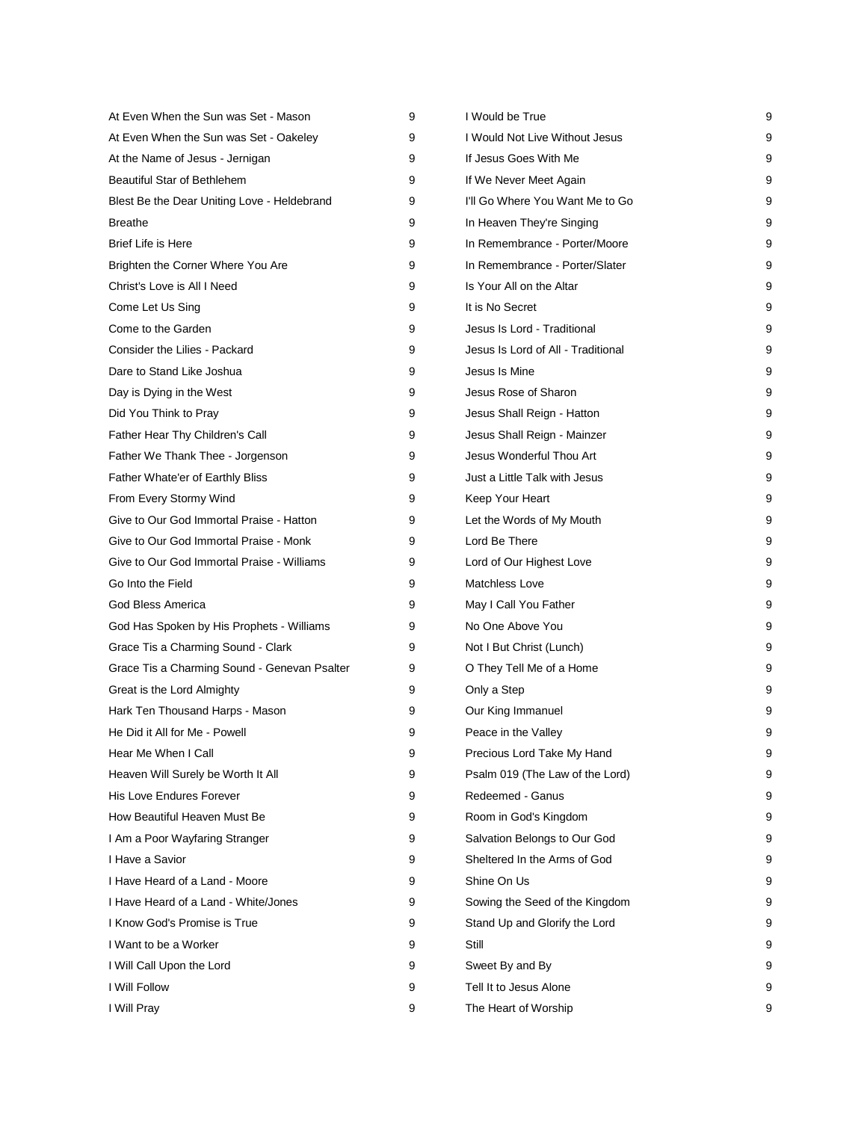| At Even When the Sun was Set - Mason         | 9 | I Would be True                    | 9 |
|----------------------------------------------|---|------------------------------------|---|
| At Even When the Sun was Set - Oakeley       | 9 | I Would Not Live Without Jesus     | 9 |
| At the Name of Jesus - Jernigan              | 9 | If Jesus Goes With Me              | 9 |
| Beautiful Star of Bethlehem                  | 9 | If We Never Meet Again             | 9 |
| Blest Be the Dear Uniting Love - Heldebrand  | 9 | I'll Go Where You Want Me to Go    | 9 |
| <b>Breathe</b>                               | 9 | In Heaven They're Singing          | 9 |
| <b>Brief Life is Here</b>                    | 9 | In Remembrance - Porter/Moore      | 9 |
| Brighten the Corner Where You Are            | 9 | In Remembrance - Porter/Slater     | 9 |
| Christ's Love is All I Need                  | 9 | Is Your All on the Altar           | 9 |
| Come Let Us Sing                             | 9 | It is No Secret                    | 9 |
| Come to the Garden                           | 9 | Jesus Is Lord - Traditional        | 9 |
| Consider the Lilies - Packard                | 9 | Jesus Is Lord of All - Traditional | 9 |
| Dare to Stand Like Joshua                    | 9 | Jesus Is Mine                      | 9 |
| Day is Dying in the West                     | 9 | Jesus Rose of Sharon               | 9 |
| Did You Think to Pray                        | 9 | Jesus Shall Reign - Hatton         | 9 |
| Father Hear Thy Children's Call              | 9 | Jesus Shall Reign - Mainzer        | 9 |
| Father We Thank Thee - Jorgenson             | 9 | Jesus Wonderful Thou Art           | 9 |
| Father Whate'er of Earthly Bliss             | 9 | Just a Little Talk with Jesus      | 9 |
| From Every Stormy Wind                       | 9 | Keep Your Heart                    | 9 |
| Give to Our God Immortal Praise - Hatton     | 9 | Let the Words of My Mouth          | 9 |
| Give to Our God Immortal Praise - Monk       | 9 | Lord Be There                      | 9 |
| Give to Our God Immortal Praise - Williams   | 9 | Lord of Our Highest Love           | 9 |
| Go Into the Field                            | 9 | <b>Matchless Love</b>              | 9 |
| God Bless America                            | 9 | May I Call You Father              | 9 |
| God Has Spoken by His Prophets - Williams    | 9 | No One Above You                   | 9 |
| Grace Tis a Charming Sound - Clark           | 9 | Not I But Christ (Lunch)           | 9 |
| Grace Tis a Charming Sound - Genevan Psalter | 9 | O They Tell Me of a Home           | 9 |
| Great is the Lord Almighty                   | 9 | Only a Step                        | 9 |
| Hark Ten Thousand Harps - Mason              | 9 | Our King Immanuel                  | 9 |
| He Did it All for Me - Powell                | 9 | Peace in the Valley                | 9 |
| Hear Me When I Call                          | 9 | Precious Lord Take My Hand         | 9 |
| Heaven Will Surely be Worth It All           | 9 | Psalm 019 (The Law of the Lord)    | 9 |
| His Love Endures Forever                     | 9 | Redeemed - Ganus                   | 9 |
| How Beautiful Heaven Must Be                 | 9 | Room in God's Kingdom              | 9 |
| I Am a Poor Wayfaring Stranger               | 9 | Salvation Belongs to Our God       | 9 |
| I Have a Savior                              | 9 | Sheltered In the Arms of God       | 9 |
| I Have Heard of a Land - Moore               | 9 | Shine On Us                        | 9 |
| I Have Heard of a Land - White/Jones         | 9 | Sowing the Seed of the Kingdom     | 9 |
| I Know God's Promise is True                 | 9 | Stand Up and Glorify the Lord      | 9 |
| I Want to be a Worker                        | 9 | Still                              | 9 |
| I Will Call Upon the Lord                    | 9 | Sweet By and By                    | 9 |
| I Will Follow                                | 9 | Tell It to Jesus Alone             | 9 |
| I Will Pray                                  | 9 | The Heart of Worship               | 9 |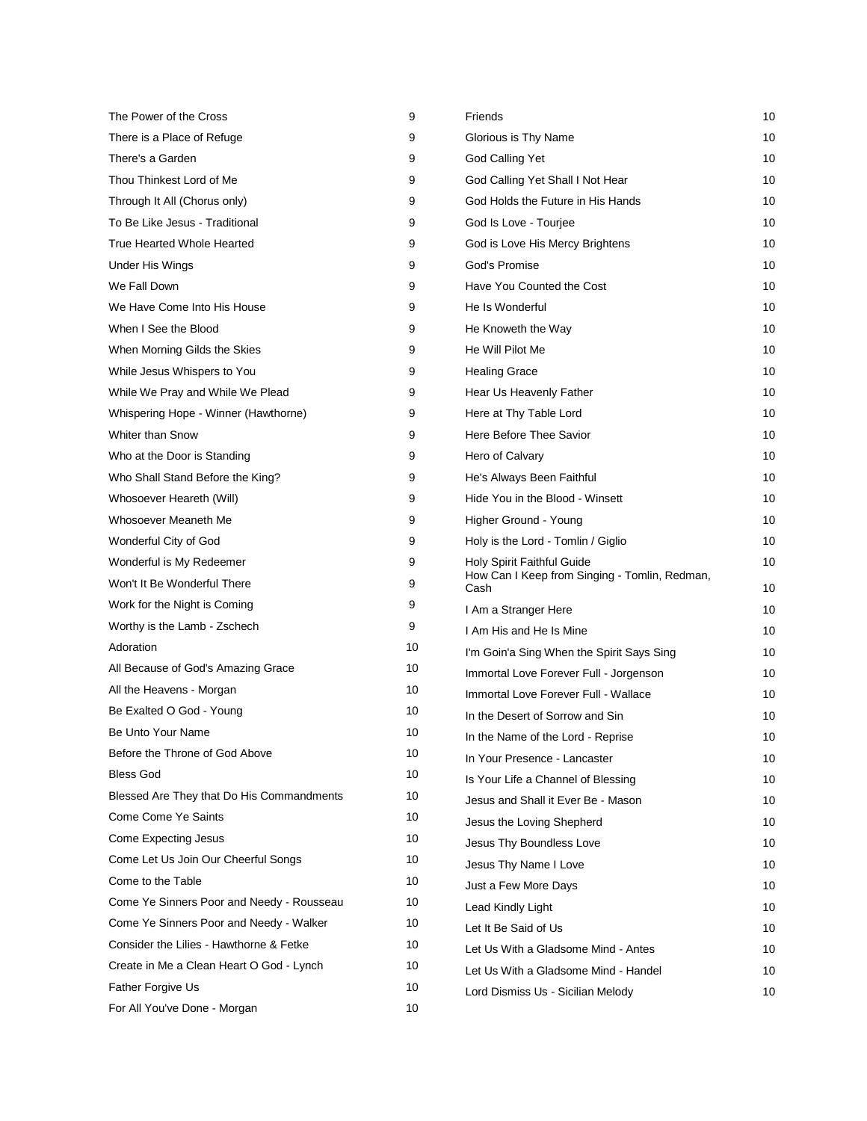| The Power of the Cross                    | 9  | Friends                                               | 10 |
|-------------------------------------------|----|-------------------------------------------------------|----|
| There is a Place of Refuge                | 9  | Glorious is Thy Name                                  | 10 |
| There's a Garden                          | 9  | God Calling Yet                                       | 10 |
| Thou Thinkest Lord of Me                  | 9  | God Calling Yet Shall I Not Hear                      | 10 |
| Through It All (Chorus only)              | 9  | God Holds the Future in His Hands                     | 10 |
| To Be Like Jesus - Traditional            | 9  | God Is Love - Tourjee                                 | 10 |
| True Hearted Whole Hearted                | 9  | God is Love His Mercy Brightens                       | 10 |
| Under His Wings                           | 9  | God's Promise                                         | 10 |
| We Fall Down                              | 9  | Have You Counted the Cost                             | 10 |
| We Have Come Into His House               | 9  | He Is Wonderful                                       | 10 |
| When I See the Blood                      | 9  | He Knoweth the Way                                    | 10 |
| When Morning Gilds the Skies              | 9  | He Will Pilot Me                                      | 10 |
| While Jesus Whispers to You               | 9  | <b>Healing Grace</b>                                  | 10 |
| While We Pray and While We Plead          | 9  | Hear Us Heavenly Father                               | 10 |
| Whispering Hope - Winner (Hawthorne)      | 9  | Here at Thy Table Lord                                | 10 |
| <b>Whiter than Snow</b>                   | 9  | Here Before Thee Savior                               | 10 |
| Who at the Door is Standing               | 9  | Hero of Calvary                                       | 10 |
| Who Shall Stand Before the King?          | 9  | He's Always Been Faithful                             | 10 |
| Whosoever Heareth (Will)                  | 9  | Hide You in the Blood - Winsett                       | 10 |
| Whosoever Meaneth Me                      | 9  | Higher Ground - Young                                 | 10 |
| Wonderful City of God                     | 9  | Holy is the Lord - Tomlin / Giglio                    | 10 |
| Wonderful is My Redeemer                  | 9  | Holy Spirit Faithful Guide                            | 10 |
| Won't It Be Wonderful There               | 9  | How Can I Keep from Singing - Tomlin, Redman,<br>Cash | 10 |
| Work for the Night is Coming              | 9  | I Am a Stranger Here                                  | 10 |
| Worthy is the Lamb - Zschech              | 9  | I Am His and He Is Mine                               | 10 |
| Adoration                                 | 10 | I'm Goin'a Sing When the Spirit Says Sing             | 10 |
| All Because of God's Amazing Grace        | 10 | Immortal Love Forever Full - Jorgenson                | 10 |
| All the Heavens - Morgan                  | 10 | Immortal Love Forever Full - Wallace                  | 10 |
| Be Exalted O God - Young                  | 10 | In the Desert of Sorrow and Sin                       | 10 |
| Be Unto Your Name                         | 10 | In the Name of the Lord - Reprise                     | 10 |
| Before the Throne of God Above            | 10 | In Your Presence - Lancaster                          | 10 |
| <b>Bless God</b>                          | 10 | Is Your Life a Channel of Blessing                    | 10 |
| Blessed Are They that Do His Commandments | 10 | Jesus and Shall it Ever Be - Mason                    | 10 |
| Come Come Ye Saints                       | 10 | Jesus the Loving Shepherd                             | 10 |
| Come Expecting Jesus                      | 10 | Jesus Thy Boundless Love                              | 10 |
| Come Let Us Join Our Cheerful Songs       | 10 | Jesus Thy Name I Love                                 | 10 |
| Come to the Table                         | 10 | Just a Few More Days                                  | 10 |
| Come Ye Sinners Poor and Needy - Rousseau | 10 | Lead Kindly Light                                     | 10 |
| Come Ye Sinners Poor and Needy - Walker   | 10 | Let It Be Said of Us                                  | 10 |
| Consider the Lilies - Hawthorne & Fetke   | 10 | Let Us With a Gladsome Mind - Antes                   | 10 |
| Create in Me a Clean Heart O God - Lynch  | 10 | Let Us With a Gladsome Mind - Handel                  | 10 |
| Father Forgive Us                         | 10 | Lord Dismiss Us - Sicilian Melody                     | 10 |
| For All You've Done - Morgan              | 10 |                                                       |    |
|                                           |    |                                                       |    |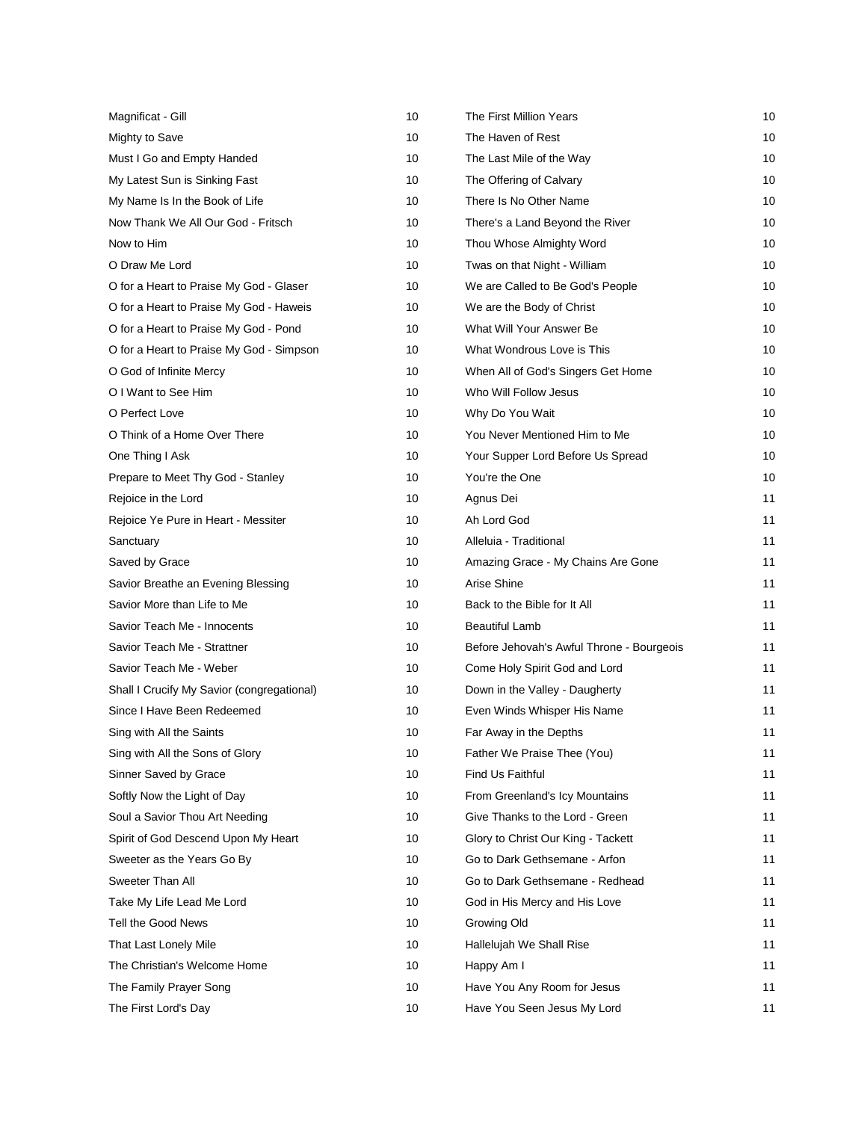| Magnificat - Gill                          | 10 | The First Million Years                   | 10 |
|--------------------------------------------|----|-------------------------------------------|----|
| Mighty to Save                             | 10 | The Haven of Rest                         | 10 |
| Must I Go and Empty Handed                 | 10 | The Last Mile of the Way                  | 10 |
| My Latest Sun is Sinking Fast              | 10 | The Offering of Calvary                   | 10 |
| My Name Is In the Book of Life             | 10 | There Is No Other Name                    | 10 |
| Now Thank We All Our God - Fritsch         | 10 | There's a Land Beyond the River           | 10 |
| Now to Him                                 | 10 | Thou Whose Almighty Word                  | 10 |
| O Draw Me Lord                             | 10 | Twas on that Night - William              | 10 |
| O for a Heart to Praise My God - Glaser    | 10 | We are Called to Be God's People          | 10 |
| O for a Heart to Praise My God - Haweis    | 10 | We are the Body of Christ                 | 10 |
| O for a Heart to Praise My God - Pond      | 10 | What Will Your Answer Be                  | 10 |
| O for a Heart to Praise My God - Simpson   | 10 | What Wondrous Love is This                | 10 |
| O God of Infinite Mercy                    | 10 | When All of God's Singers Get Home        | 10 |
| O I Want to See Him                        | 10 | Who Will Follow Jesus                     | 10 |
| O Perfect Love                             | 10 | Why Do You Wait                           | 10 |
| O Think of a Home Over There               | 10 | You Never Mentioned Him to Me             | 10 |
| One Thing I Ask                            | 10 | Your Supper Lord Before Us Spread         | 10 |
| Prepare to Meet Thy God - Stanley          | 10 | You're the One                            | 10 |
| Rejoice in the Lord                        | 10 | Agnus Dei                                 | 11 |
| Rejoice Ye Pure in Heart - Messiter        | 10 | Ah Lord God                               | 11 |
| Sanctuary                                  | 10 | Alleluia - Traditional                    | 11 |
| Saved by Grace                             | 10 | Amazing Grace - My Chains Are Gone        | 11 |
| Savior Breathe an Evening Blessing         | 10 | Arise Shine                               | 11 |
| Savior More than Life to Me                | 10 | Back to the Bible for It All              | 11 |
| Savior Teach Me - Innocents                | 10 | <b>Beautiful Lamb</b>                     | 11 |
| Savior Teach Me - Strattner                | 10 | Before Jehovah's Awful Throne - Bourgeois | 11 |
| Savior Teach Me - Weber                    | 10 | Come Holy Spirit God and Lord             | 11 |
| Shall I Crucify My Savior (congregational) | 10 | Down in the Valley - Daugherty            | 11 |
| Since I Have Been Redeemed                 | 10 | Even Winds Whisper His Name               | 11 |
| Sing with All the Saints                   | 10 | Far Away in the Depths                    | 11 |
| Sing with All the Sons of Glory            | 10 | Father We Praise Thee (You)               | 11 |
| Sinner Saved by Grace                      | 10 | Find Us Faithful                          | 11 |
| Softly Now the Light of Day                | 10 | From Greenland's Icy Mountains            | 11 |
| Soul a Savior Thou Art Needing             | 10 | Give Thanks to the Lord - Green           | 11 |
| Spirit of God Descend Upon My Heart        | 10 | Glory to Christ Our King - Tackett        | 11 |
| Sweeter as the Years Go By                 | 10 | Go to Dark Gethsemane - Arfon             | 11 |
| Sweeter Than All                           | 10 | Go to Dark Gethsemane - Redhead           | 11 |
| Take My Life Lead Me Lord                  | 10 | God in His Mercy and His Love             | 11 |
| Tell the Good News                         | 10 | Growing Old                               | 11 |
| That Last Lonely Mile                      | 10 | Hallelujah We Shall Rise                  | 11 |
| The Christian's Welcome Home               | 10 | Happy Am I                                | 11 |
| The Family Prayer Song                     | 10 | Have You Any Room for Jesus               | 11 |
| The First Lord's Day                       | 10 | Have You Seen Jesus My Lord               | 11 |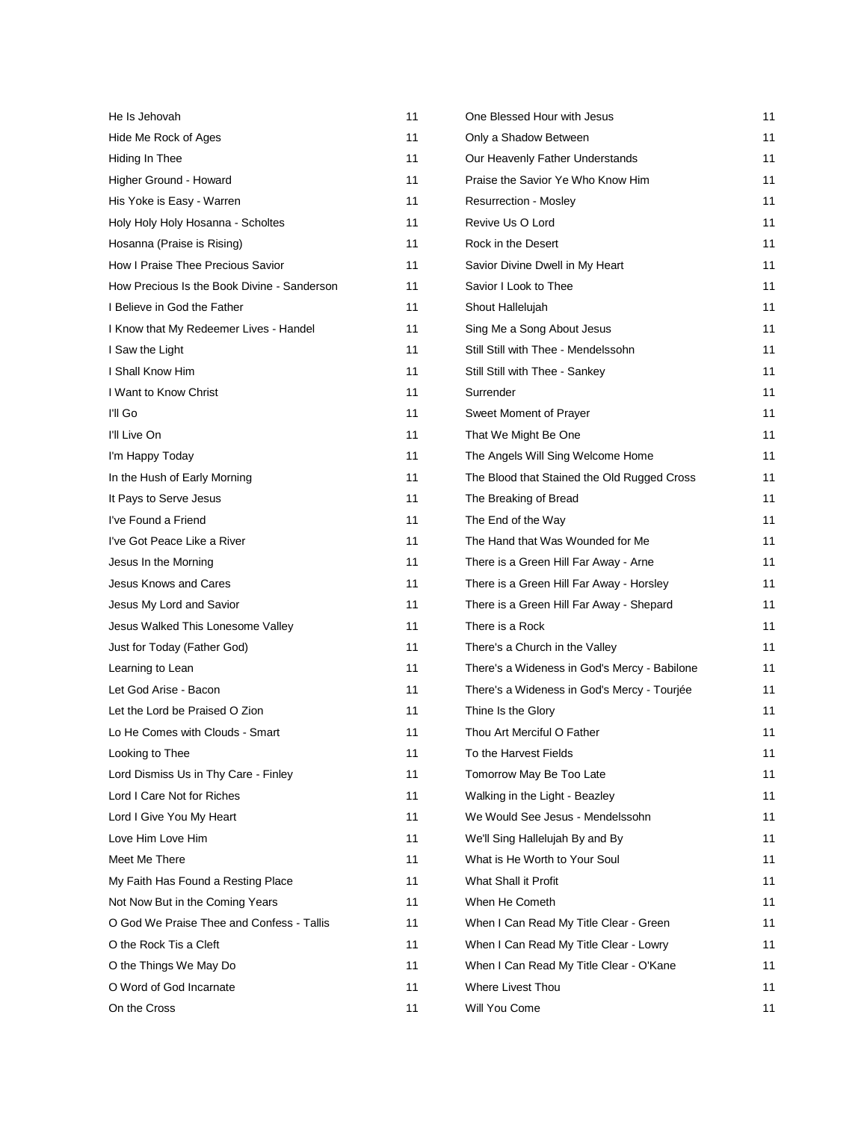| He Is Jehovah                               | 11 | One Blessed Hour with Jesus                  | 11 |
|---------------------------------------------|----|----------------------------------------------|----|
| Hide Me Rock of Ages                        | 11 | Only a Shadow Between                        | 11 |
| Hiding In Thee                              | 11 | Our Heavenly Father Understands              | 11 |
| Higher Ground - Howard                      | 11 | Praise the Savior Ye Who Know Him            | 11 |
| His Yoke is Easy - Warren                   | 11 | Resurrection - Mosley                        | 11 |
| Holy Holy Holy Hosanna - Scholtes           | 11 | Revive Us O Lord                             | 11 |
| Hosanna (Praise is Rising)                  | 11 | Rock in the Desert                           | 11 |
| How I Praise Thee Precious Savior           | 11 | Savior Divine Dwell in My Heart              | 11 |
| How Precious Is the Book Divine - Sanderson | 11 | Savior I Look to Thee                        | 11 |
| I Believe in God the Father                 | 11 | Shout Hallelujah                             | 11 |
| I Know that My Redeemer Lives - Handel      | 11 | Sing Me a Song About Jesus                   | 11 |
| I Saw the Light                             | 11 | Still Still with Thee - Mendelssohn          | 11 |
| I Shall Know Him                            | 11 | Still Still with Thee - Sankey               | 11 |
| I Want to Know Christ                       | 11 | Surrender                                    | 11 |
| I'll Go                                     | 11 | Sweet Moment of Prayer                       | 11 |
| I'll Live On                                | 11 | That We Might Be One                         | 11 |
| I'm Happy Today                             | 11 | The Angels Will Sing Welcome Home            | 11 |
| In the Hush of Early Morning                | 11 | The Blood that Stained the Old Rugged Cross  | 11 |
| It Pays to Serve Jesus                      | 11 | The Breaking of Bread                        | 11 |
| I've Found a Friend                         | 11 | The End of the Way                           | 11 |
| I've Got Peace Like a River                 | 11 | The Hand that Was Wounded for Me             | 11 |
| Jesus In the Morning                        | 11 | There is a Green Hill Far Away - Arne        | 11 |
| <b>Jesus Knows and Cares</b>                | 11 | There is a Green Hill Far Away - Horsley     | 11 |
| Jesus My Lord and Savior                    | 11 | There is a Green Hill Far Away - Shepard     | 11 |
| Jesus Walked This Lonesome Valley           | 11 | There is a Rock                              | 11 |
| Just for Today (Father God)                 | 11 | There's a Church in the Valley               | 11 |
| Learning to Lean                            | 11 | There's a Wideness in God's Mercy - Babilone | 11 |
| Let God Arise - Bacon                       | 11 | There's a Wideness in God's Mercy - Tourjée  | 11 |
| Let the Lord be Praised O Zion              | 11 | Thine Is the Glory                           | 11 |
| Lo He Comes with Clouds - Smart             | 11 | Thou Art Merciful O Father                   | 11 |
| Looking to Thee                             | 11 | To the Harvest Fields                        | 11 |
| Lord Dismiss Us in Thy Care - Finley        | 11 | Tomorrow May Be Too Late                     | 11 |
| Lord I Care Not for Riches                  | 11 | Walking in the Light - Beazley               | 11 |
| Lord I Give You My Heart                    | 11 | We Would See Jesus - Mendelssohn             | 11 |
| Love Him Love Him                           | 11 | We'll Sing Hallelujah By and By              | 11 |
| Meet Me There                               | 11 | What is He Worth to Your Soul                | 11 |
| My Faith Has Found a Resting Place          | 11 | What Shall it Profit                         | 11 |
| Not Now But in the Coming Years             | 11 | When He Cometh                               | 11 |
| O God We Praise Thee and Confess - Tallis   | 11 | When I Can Read My Title Clear - Green       | 11 |
| O the Rock Tis a Cleft                      | 11 | When I Can Read My Title Clear - Lowry       | 11 |
| O the Things We May Do                      | 11 | When I Can Read My Title Clear - O'Kane      | 11 |
| O Word of God Incarnate                     | 11 | Where Livest Thou                            | 11 |
| On the Cross                                | 11 | Will You Come                                | 11 |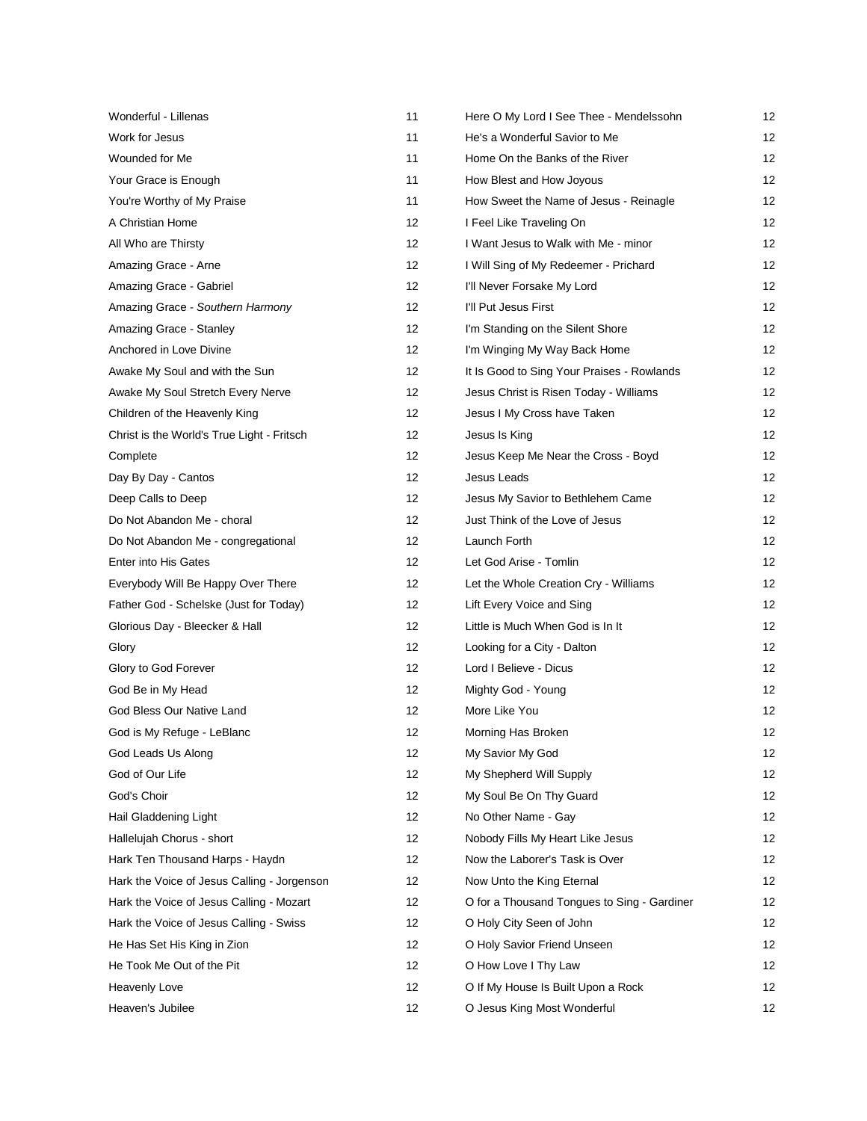| Wonderful - Lillenas                        | 11 | Here O My Lord I See Thee - Mendelssohn     | 12 |
|---------------------------------------------|----|---------------------------------------------|----|
| Work for Jesus                              | 11 | He's a Wonderful Savior to Me               | 12 |
| Wounded for Me                              | 11 | Home On the Banks of the River              | 12 |
| Your Grace is Enough                        | 11 | How Blest and How Joyous                    | 12 |
| You're Worthy of My Praise                  | 11 | How Sweet the Name of Jesus - Reinagle      | 12 |
| A Christian Home                            | 12 | I Feel Like Traveling On                    | 12 |
| All Who are Thirsty                         | 12 | I Want Jesus to Walk with Me - minor        | 12 |
| Amazing Grace - Arne                        | 12 | I Will Sing of My Redeemer - Prichard       | 12 |
| Amazing Grace - Gabriel                     | 12 | I'll Never Forsake My Lord                  | 12 |
| Amazing Grace - Southern Harmony            | 12 | I'll Put Jesus First                        | 12 |
| Amazing Grace - Stanley                     | 12 | I'm Standing on the Silent Shore            | 12 |
| Anchored in Love Divine                     | 12 | I'm Winging My Way Back Home                | 12 |
| Awake My Soul and with the Sun              | 12 | It Is Good to Sing Your Praises - Rowlands  | 12 |
| Awake My Soul Stretch Every Nerve           | 12 | Jesus Christ is Risen Today - Williams      | 12 |
| Children of the Heavenly King               | 12 | Jesus I My Cross have Taken                 | 12 |
| Christ is the World's True Light - Fritsch  | 12 | Jesus Is King                               | 12 |
| Complete                                    | 12 | Jesus Keep Me Near the Cross - Boyd         | 12 |
| Day By Day - Cantos                         | 12 | Jesus Leads                                 | 12 |
| Deep Calls to Deep                          | 12 | Jesus My Savior to Bethlehem Came           | 12 |
| Do Not Abandon Me - choral                  | 12 | Just Think of the Love of Jesus             | 12 |
| Do Not Abandon Me - congregational          | 12 | Launch Forth                                | 12 |
| Enter into His Gates                        | 12 | Let God Arise - Tomlin                      | 12 |
| Everybody Will Be Happy Over There          | 12 | Let the Whole Creation Cry - Williams       | 12 |
| Father God - Schelske (Just for Today)      | 12 | Lift Every Voice and Sing                   | 12 |
| Glorious Day - Bleecker & Hall              | 12 | Little is Much When God is In It            | 12 |
| Glory                                       | 12 | Looking for a City - Dalton                 | 12 |
| Glory to God Forever                        | 12 | Lord I Believe - Dicus                      | 12 |
| God Be in My Head                           | 12 | Mighty God - Young                          | 12 |
| God Bless Our Native Land                   | 12 | More Like You                               | 12 |
| God is My Refuge - LeBlanc                  | 12 | Morning Has Broken                          | 12 |
| God Leads Us Along                          | 12 | My Savior My God                            | 12 |
| God of Our Life                             | 12 | My Shepherd Will Supply                     | 12 |
| God's Choir                                 | 12 | My Soul Be On Thy Guard                     | 12 |
| Hail Gladdening Light                       | 12 | No Other Name - Gay                         | 12 |
| Hallelujah Chorus - short                   | 12 | Nobody Fills My Heart Like Jesus            | 12 |
| Hark Ten Thousand Harps - Haydn             | 12 | Now the Laborer's Task is Over              | 12 |
| Hark the Voice of Jesus Calling - Jorgenson | 12 | Now Unto the King Eternal                   | 12 |
| Hark the Voice of Jesus Calling - Mozart    | 12 | O for a Thousand Tongues to Sing - Gardiner | 12 |
| Hark the Voice of Jesus Calling - Swiss     | 12 | O Holy City Seen of John                    | 12 |
| He Has Set His King in Zion                 | 12 | O Holy Savior Friend Unseen                 | 12 |
| He Took Me Out of the Pit                   | 12 | O How Love I Thy Law                        | 12 |
| Heavenly Love                               | 12 | O If My House Is Built Upon a Rock          | 12 |
| Heaven's Jubilee                            | 12 | O Jesus King Most Wonderful                 | 12 |
|                                             |    |                                             |    |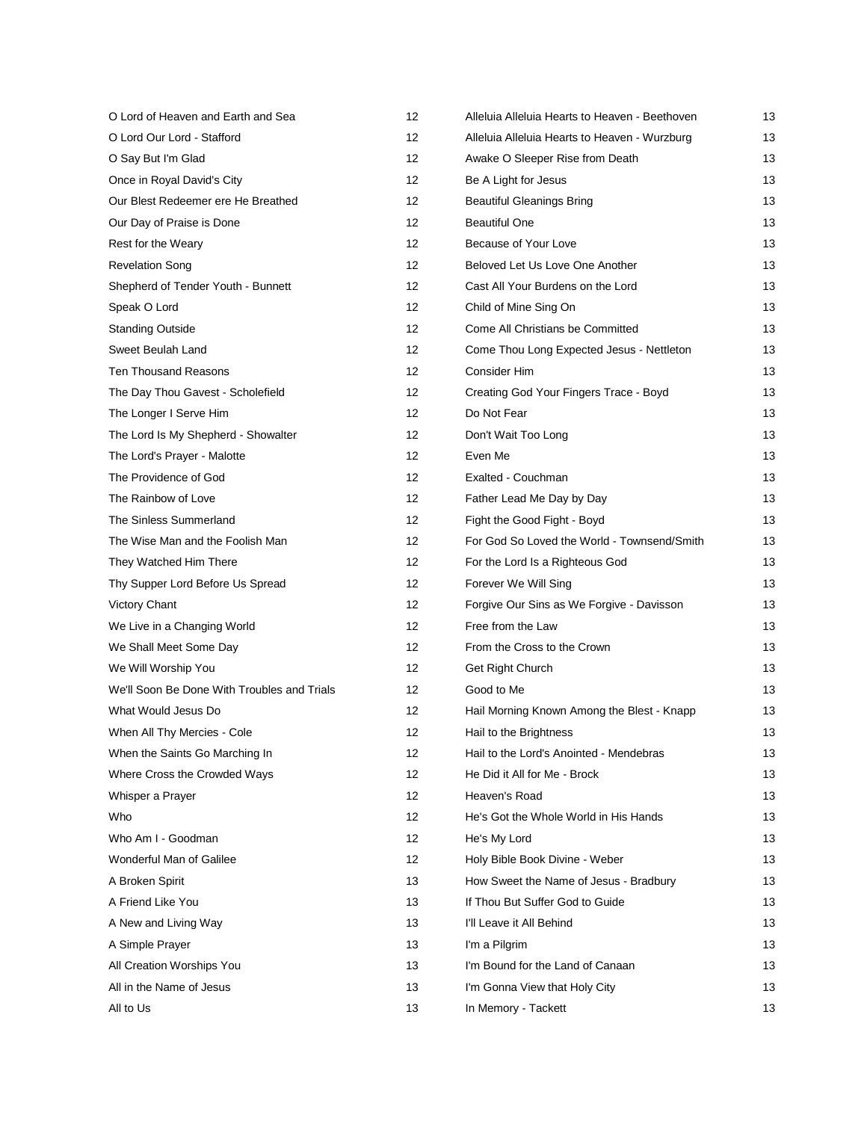| O Lord of Heaven and Earth and Sea          | 12 | Alleluia Alleluia Hearts to Heaven - Beethoven | 13 |
|---------------------------------------------|----|------------------------------------------------|----|
| O Lord Our Lord - Stafford                  | 12 | Alleluia Alleluia Hearts to Heaven - Wurzburg  | 13 |
| O Say But I'm Glad                          | 12 | Awake O Sleeper Rise from Death                | 13 |
| Once in Royal David's City                  | 12 | Be A Light for Jesus                           | 13 |
| Our Blest Redeemer ere He Breathed          | 12 | <b>Beautiful Gleanings Bring</b>               | 13 |
| Our Day of Praise is Done                   | 12 | <b>Beautiful One</b>                           | 13 |
| Rest for the Weary                          | 12 | Because of Your Love                           | 13 |
| <b>Revelation Song</b>                      | 12 | Beloved Let Us Love One Another                | 13 |
| Shepherd of Tender Youth - Bunnett          | 12 | Cast All Your Burdens on the Lord              | 13 |
| Speak O Lord                                | 12 | Child of Mine Sing On                          | 13 |
| <b>Standing Outside</b>                     | 12 | Come All Christians be Committed               | 13 |
| Sweet Beulah Land                           | 12 | Come Thou Long Expected Jesus - Nettleton      | 13 |
| Ten Thousand Reasons                        | 12 | Consider Him                                   | 13 |
| The Day Thou Gavest - Scholefield           | 12 | Creating God Your Fingers Trace - Boyd         | 13 |
| The Longer I Serve Him                      | 12 | Do Not Fear                                    | 13 |
| The Lord Is My Shepherd - Showalter         | 12 | Don't Wait Too Long                            | 13 |
| The Lord's Prayer - Malotte                 | 12 | Even Me                                        | 13 |
| The Providence of God                       | 12 | Exalted - Couchman                             | 13 |
| The Rainbow of Love                         | 12 | Father Lead Me Day by Day                      | 13 |
| The Sinless Summerland                      | 12 | Fight the Good Fight - Boyd                    | 13 |
| The Wise Man and the Foolish Man            | 12 | For God So Loved the World - Townsend/Smith    | 13 |
| They Watched Him There                      | 12 | For the Lord Is a Righteous God                | 13 |
| Thy Supper Lord Before Us Spread            | 12 | Forever We Will Sing                           | 13 |
| Victory Chant                               | 12 | Forgive Our Sins as We Forgive - Davisson      | 13 |
| We Live in a Changing World                 | 12 | Free from the Law                              | 13 |
| We Shall Meet Some Day                      | 12 | From the Cross to the Crown                    | 13 |
| We Will Worship You                         | 12 | Get Right Church                               | 13 |
| We'll Soon Be Done With Troubles and Trials | 12 | Good to Me                                     | 13 |
| What Would Jesus Do                         | 12 | Hail Morning Known Among the Blest - Knapp     | 13 |
| When All Thy Mercies - Cole                 | 12 | Hail to the Brightness                         | 13 |
| When the Saints Go Marching In              | 12 | Hail to the Lord's Anointed - Mendebras        | 13 |
| Where Cross the Crowded Ways                | 12 | He Did it All for Me - Brock                   | 13 |
| Whisper a Prayer                            | 12 | Heaven's Road                                  | 13 |
| Who                                         | 12 | He's Got the Whole World in His Hands          | 13 |
| Who Am I - Goodman                          | 12 | He's My Lord                                   | 13 |
| Wonderful Man of Galilee                    | 12 | Holy Bible Book Divine - Weber                 | 13 |
| A Broken Spirit                             | 13 | How Sweet the Name of Jesus - Bradbury         | 13 |
| A Friend Like You                           | 13 | If Thou But Suffer God to Guide                | 13 |
| A New and Living Way                        | 13 | I'll Leave it All Behind                       | 13 |
| A Simple Prayer                             | 13 | I'm a Pilgrim                                  | 13 |
| All Creation Worships You                   | 13 | I'm Bound for the Land of Canaan               | 13 |
| All in the Name of Jesus                    | 13 | I'm Gonna View that Holy City                  | 13 |
| All to Us                                   | 13 | In Memory - Tackett                            | 13 |